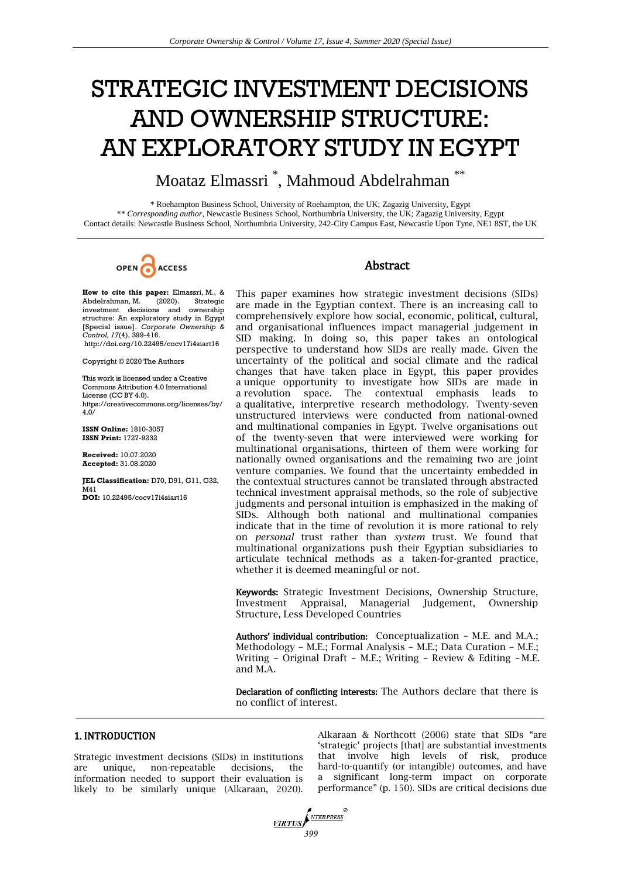# STRATEGIC INVESTMENT DECISIONS AND OWNERSHIP STRUCTURE: AN EXPLORATORY STUDY IN EGYPT

Moataz Elmassri \* , Mahmoud Abdelrahman \*\*

\* Roehampton Business School, University of Roehampton, the UK; Zagazig University, Egypt \*\* *Corresponding author*, Newcastle Business School, Northumbria University, the UK; Zagazig University, Egypt Contact details: Newcastle Business School, Northumbria University, 242-City Campus East, Newcastle Upon Tyne, NE1 8ST, the UK

OPEN ACCESS

# Abstract

**How to cite this paper:** Elmassri, M., & Abdelrahman, M. (2020). Strategic investment decisions and ownership structure: An exploratory study in Egypt [Special issue]. *Corporate Ownership & Control, 17*(4), 399-416. http://doi.org/10.22495/cocv17i4siart16

Copyright © 2020 The Authors

This work is licensed under a Creative Commons Attribution 4.0 International License (CC BY 4.0). https://creativecommons.org/licenses/by/  $4.0/$ 

**ISSN Online:** 1810-3057 **ISSN Print:** 1727-9232

**Received:** 10.07.2020 **Accepted:** 31.08.2020

**JEL Classification:** D70, D91, G11, G32, M<sub>41</sub> **DOI:** 10.22495/cocv17i4siart16

This paper examines how strategic investment decisions (SIDs) are made in the Egyptian context. There is an increasing call to comprehensively explore how social, economic, political, cultural, and organisational influences impact managerial judgement in SID making. In doing so, this paper takes an ontological perspective to understand how SIDs are really made. Given the uncertainty of the political and social climate and the radical changes that have taken place in Egypt, this paper provides a unique opportunity to investigate how SIDs are made in a revolution space. The contextual emphasis leads to a qualitative, interpretive research methodology. Twenty-seven unstructured interviews were conducted from national-owned and multinational companies in Egypt. Twelve organisations out of the twenty-seven that were interviewed were working for multinational organisations, thirteen of them were working for nationally owned organisations and the remaining two are joint venture companies. We found that the uncertainty embedded in the contextual structures cannot be translated through abstracted technical investment appraisal methods, so the role of subjective judgments and personal intuition is emphasized in the making of SIDs. Although both national and multinational companies indicate that in the time of revolution it is more rational to rely on *personal* trust rather than *system* trust. We found that multinational organizations push their Egyptian subsidiaries to articulate technical methods as a taken-for-granted practice, whether it is deemed meaningful or not.

Keywords: Strategic Investment Decisions, Ownership Structure, Investment Appraisal, Managerial Judgement, Ownership Structure, Less Developed Countries

Authors' individual contribution: Conceptualization - M.E. and M.A.; Methodology – M.E.; Formal Analysis – M.E.; Data Curation – M.E.; Writing – Original Draft – M.E.; Writing – Review & Editing – M.E. and M.A.

Declaration of conflicting interests: The Authors declare that there is no conflict of interest.

# 1. INTRODUCTION

Strategic investment decisions (SIDs) in institutions are unique, non-repeatable decisions, the information needed to support their evaluation is likely to be similarly unique (Alkaraan, 2020). Alkaraan & Northcott (2006) state that SIDs "are ‗strategic' projects [that] are substantial investments that involve high levels of risk, produce hard-to-quantify (or intangible) outcomes, and have a significant long-term impact on corporate performance" (p. 150). SIDs are critical decisions due

*MRTUS*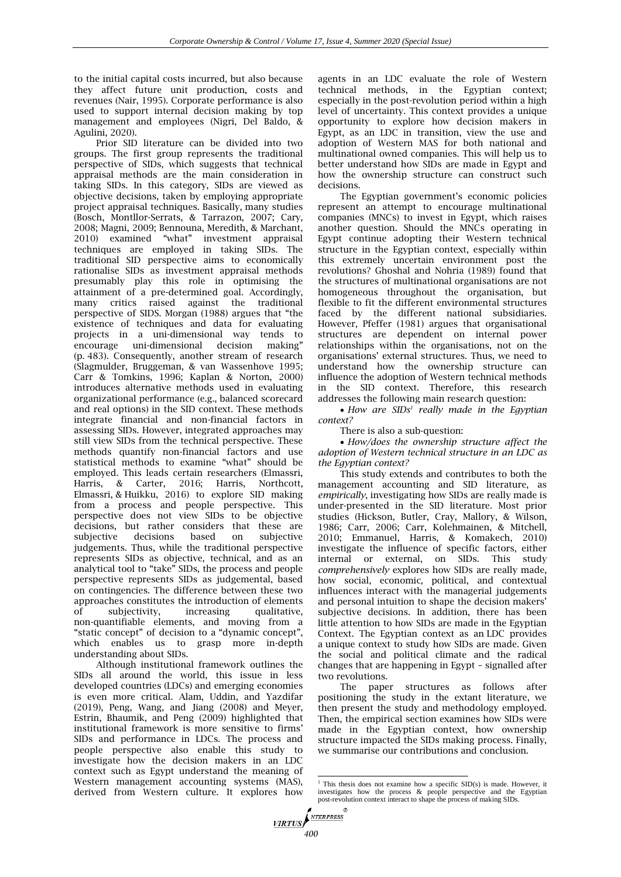to the initial capital costs incurred, but also because they affect future unit production, costs and revenues (Nair, 1995). Corporate performance is also used to support internal decision making by top management and employees (Nigri, Del Baldo, & Agulini, 2020).

Prior SID literature can be divided into two groups. The first group represents the traditional perspective of SIDs, which suggests that technical appraisal methods are the main consideration in taking SIDs. In this category, SIDs are viewed as objective decisions, taken by employing appropriate project appraisal techniques. Basically, many studies (Bosch, Montllor-Serrats, & Tarrazon, 2007; Cary, 2008; Magni, 2009; Bennouna, Meredith, & Marchant,  $2010$ ) examined "what" investment appraisal techniques are employed in taking SIDs. The traditional SID perspective aims to economically rationalise SIDs as investment appraisal methods presumably play this role in optimising the attainment of a pre-determined goal. Accordingly, many critics raised against the traditional perspective of SIDS. Morgan  $(1988)$  argues that "the existence of techniques and data for evaluating projects in a uni-dimensional way tends to encourage uni-dimensional decision making" (p. 483). Consequently, another stream of research (Slagmulder, Bruggeman, & van Wassenhove 1995; Carr & Tomkins, 1996; Kaplan & Norton, 2000) introduces alternative methods used in evaluating organizational performance (e.g., balanced scorecard and real options) in the SID context. These methods integrate financial and non-financial factors in assessing SIDs. However, integrated approaches may still view SIDs from the technical perspective. These methods quantify non-financial factors and use statistical methods to examine "what" should be employed. This leads certain researchers (Elmassri, Harris, & Carter, 2016; Harris, Northcott, Elmassri, & Huikku, 2016) to explore SID making from a process and people perspective. This perspective does not view SIDs to be objective decisions, but rather considers that these are subjective decisions based on subjective judgements. Thus, while the traditional perspective represents SIDs as objective, technical, and as an analytical tool to "take" SIDs, the process and people perspective represents SIDs as judgemental, based on contingencies. The difference between these two approaches constitutes the introduction of elements of subjectivity, increasing qualitative, non-quantifiable elements, and moving from a "static concept" of decision to a "dynamic concept", which enables us to grasp more in-depth understanding about SIDs.

Although institutional framework outlines the SIDs all around the world, this issue in less developed countries (LDCs) and emerging economies is even more critical. Alam, Uddin, and Yazdifar (2019), Peng, Wang, and Jiang (2008) and Meyer, Estrin, Bhaumik, and Peng (2009) highlighted that institutional framework is more sensitive to firms' SIDs and performance in LDCs. The process and people perspective also enable this study to investigate how the decision makers in an LDC context such as Egypt understand the meaning of Western management accounting systems (MAS), derived from Western culture. It explores how

agents in an LDC evaluate the role of Western technical methods, in the Egyptian context; especially in the post-revolution period within a high level of uncertainty. This context provides a unique opportunity to explore how decision makers in Egypt, as an LDC in transition, view the use and adoption of Western MAS for both national and multinational owned companies. This will help us to better understand how SIDs are made in Egypt and how the ownership structure can construct such decisions.

The Egyptian government's economic policies represent an attempt to encourage multinational companies (MNCs) to invest in Egypt, which raises another question. Should the MNCs operating in Egypt continue adopting their Western technical structure in the Egyptian context, especially within this extremely uncertain environment post the revolutions? Ghoshal and Nohria (1989) found that the structures of multinational organisations are not homogeneous throughout the organisation, but flexible to fit the different environmental structures faced by the different national subsidiaries. However, Pfeffer (1981) argues that organisational structures are dependent on internal power relationships within the organisations, not on the organisations' external structures. Thus, we need to understand how the ownership structure can influence the adoption of Western technical methods in the SID context. Therefore, this research addresses the following main research question:

• How are SIDs<sup>1</sup> really made in the Egyptian *context?*

There is also a sub-question:

 *How/does the ownership structure affect the adoption of Western technical structure in an LDC as the Egyptian context?* 

This study extends and contributes to both the management accounting and SID literature, as *empirically*, investigating how SIDs are really made is under-presented in the SID literature. Most prior studies (Hickson, Butler, Cray, Mallory, & Wilson, 1986; Carr, 2006; Carr, Kolehmainen, & Mitchell, 2010; Emmanuel, Harris, & Komakech, 2010) investigate the influence of specific factors, either internal or external, on SIDs. This study *comprehensively* explores how SIDs are really made, how social, economic, political, and contextual influences interact with the managerial judgements and personal intuition to shape the decision makers' subjective decisions. In addition, there has been little attention to how SIDs are made in the Egyptian Context. The Egyptian context as an LDC provides a unique context to study how SIDs are made. Given the social and political climate and the radical changes that are happening in Egypt – signalled after two revolutions.

The paper structures as follows after positioning the study in the extant literature, we then present the study and methodology employed. Then, the empirical section examines how SIDs were made in the Egyptian context, how ownership structure impacted the SIDs making process. Finally, we summarise our contributions and conclusion.

 <sup>1</sup> This thesis does not examine how a specific SID(s) is made. However, it investigates how the process & people perspective and the Egyptian post-revolution context interact to shape the process of making SIDs.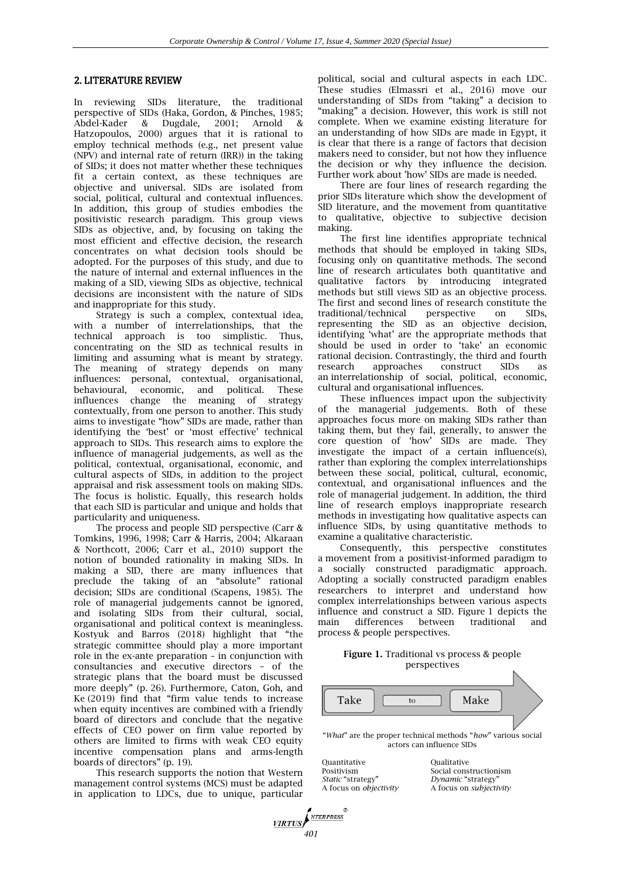#### 2. LITERATURE REVIEW

In reviewing SIDs literature, the traditional perspective of SIDs (Haka, Gordon, & Pinches, 1985; Abdel-Kader & Dugdale, 2001; Arnold & Hatzopoulos, 2000) argues that it is rational to employ technical methods (e.g., net present value (NPV) and internal rate of return (IRR)) in the taking of SIDs; it does not matter whether these techniques fit a certain context, as these techniques are objective and universal. SIDs are isolated from social, political, cultural and contextual influences. In addition, this group of studies embodies the positivistic research paradigm. This group views SIDs as objective, and, by focusing on taking the most efficient and effective decision, the research concentrates on what decision tools should be adopted. For the purposes of this study, and due to the nature of internal and external influences in the making of a SID, viewing SIDs as objective, technical decisions are inconsistent with the nature of SIDs and inappropriate for this study.

Strategy is such a complex, contextual idea, with a number of interrelationships, that the technical approach is too simplistic. Thus, concentrating on the SID as technical results in limiting and assuming what is meant by strategy. The meaning of strategy depends on many influences: personal, contextual, organisational, behavioural, economic, and political. These influences change the meaning of strategy contextually, from one person to another. This study aims to investigate "how" SIDs are made, rather than identifying the 'best' or 'most effective' technical approach to SIDs. This research aims to explore the influence of managerial judgements, as well as the political, contextual, organisational, economic, and cultural aspects of SIDs, in addition to the project appraisal and risk assessment tools on making SIDs. The focus is holistic. Equally, this research holds that each SID is particular and unique and holds that particularity and uniqueness.

The process and people SID perspective (Carr & Tomkins, 1996, 1998; Carr & Harris, 2004; Alkaraan & Northcott, 2006; Carr et al., 2010) support the notion of bounded rationality in making SIDs. In making a SID, there are many influences that preclude the taking of an "absolute" rational decision; SIDs are conditional (Scapens, 1985). The role of managerial judgements cannot be ignored, and isolating SIDs from their cultural, social, organisational and political context is meaningless. Kostyuk and Barros (2018) highlight that "the strategic committee should play a more important role in the ex-ante preparation – in conjunction with consultancies and executive directors – of the strategic plans that the board must be discussed more deeply" (p. 26). Furthermore, Caton, Goh, and Ke  $(2019)$  find that "firm value tends to increase when equity incentives are combined with a friendly board of directors and conclude that the negative effects of CEO power on firm value reported by others are limited to firms with weak CEO equity incentive compensation plans and arms-length boards of directors" (p. 19).

This research supports the notion that Western management control systems (MCS) must be adapted in application to LDCs, due to unique, particular

political, social and cultural aspects in each LDC. These studies (Elmassri et al., 2016) move our understanding of SIDs from "taking" a decision to "making" a decision. However, this work is still not complete. When we examine existing literature for an understanding of how SIDs are made in Egypt, it is clear that there is a range of factors that decision makers need to consider, but not how they influence the decision or why they influence the decision. Further work about 'how' SIDs are made is needed.

There are four lines of research regarding the prior SIDs literature which show the development of SID literature, and the movement from quantitative to qualitative, objective to subjective decision making.

The first line identifies appropriate technical methods that should be employed in taking SIDs, focusing only on quantitative methods. The second line of research articulates both quantitative and qualitative factors by introducing integrated methods but still views SID as an objective process. The first and second lines of research constitute the traditional/technical perspective on SIDs, representing the SID as an objective decision, identifying 'what' are the appropriate methods that should be used in order to 'take' an economic rational decision. Contrastingly, the third and fourth research approaches construct SIDs as an interrelationship of social, political, economic, cultural and organisational influences.

These influences impact upon the subjectivity the managerial judgements. Both of these approaches focus more on making SIDs rather than taking them, but they fail, generally, to answer the core question of 'how' SIDs are made. They investigate the impact of a certain influence(s), rather than exploring the complex interrelationships between these social, political, cultural, economic, contextual, and organisational influences and the role of managerial judgement. In addition, the third line of research employs inappropriate research methods in investigating how qualitative aspects can influence SIDs, by using quantitative methods to examine a qualitative characteristic.

Consequently, this perspective constitutes a movement from a positivist-informed paradigm to a socially constructed paradigmatic approach. Adopting a socially constructed paradigm enables researchers to interpret and understand how complex interrelationships between various aspects influence and construct a SID. Figure 1 depicts the main differences between traditional and process & people perspectives.

#### **Figure 1.** Traditional vs process & people perspectives



| Ouantitative                  | Oualitative                    |
|-------------------------------|--------------------------------|
| Positivism                    | Social constructionism         |
| <i>Static</i> "strategy"      | Dynamic "strategy"             |
| A focus on <i>objectivity</i> | A focus on <i>subjectivity</i> |
|                               |                                |

*401*

**VIRTUS** 

NTERPRESS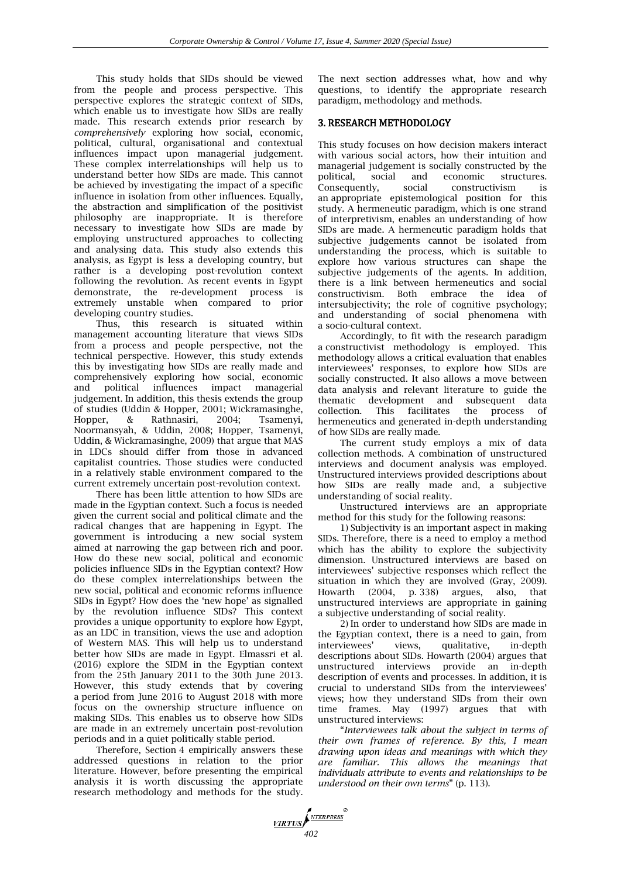This study holds that SIDs should be viewed from the people and process perspective. This perspective explores the strategic context of SIDs, which enable us to investigate how SIDs are really made. This research extends prior research by *comprehensively* exploring how social, economic, political, cultural, organisational and contextual influences impact upon managerial judgement. These complex interrelationships will help us to understand better how SIDs are made. This cannot be achieved by investigating the impact of a specific influence in isolation from other influences. Equally, the abstraction and simplification of the positivist philosophy are inappropriate. It is therefore necessary to investigate how SIDs are made by employing unstructured approaches to collecting and analysing data. This study also extends this analysis, as Egypt is less a developing country, but rather is a developing post-revolution context following the revolution. As recent events in Egypt demonstrate, the re-development process is extremely unstable when compared to prior developing country studies.

Thus, this research is situated within management accounting literature that views SIDs from a process and people perspective, not the technical perspective. However, this study extends this by investigating how SIDs are really made and comprehensively exploring how social, economic and political influences impact managerial judgement. In addition, this thesis extends the group of studies (Uddin & Hopper, 2001; Wickramasinghe, Hopper, & Rathnasiri, 2004; Tsamenyi, Noormansyah, & Uddin, 2008; Hopper, Tsamenyi, Uddin, & Wickramasinghe, 2009) that argue that MAS in LDCs should differ from those in advanced capitalist countries. Those studies were conducted in a relatively stable environment compared to the current extremely uncertain post-revolution context.

There has been little attention to how SIDs are made in the Egyptian context. Such a focus is needed given the current social and political climate and the radical changes that are happening in Egypt. The government is introducing a new social system aimed at narrowing the gap between rich and poor. How do these new social, political and economic policies influence SIDs in the Egyptian context? How do these complex interrelationships between the new social, political and economic reforms influence SIDs in Egypt? How does the 'new hope' as signalled by the revolution influence SIDs? This context provides a unique opportunity to explore how Egypt, as an LDC in transition, views the use and adoption of Western MAS. This will help us to understand better how SIDs are made in Egypt. Elmassri et al. (2016) explore the SIDM in the Egyptian context from the 25th January 2011 to the 30th June 2013. However, this study extends that by covering a period from June 2016 to August 2018 with more focus on the ownership structure influence on making SIDs. This enables us to observe how SIDs are made in an extremely uncertain post-revolution periods and in a quiet politically stable period.

Therefore, Section 4 empirically answers these addressed questions in relation to the prior literature. However, before presenting the empirical analysis it is worth discussing the appropriate research methodology and methods for the study. The next section addresses what, how and why questions, to identify the appropriate research paradigm, methodology and methods.

# 3. RESEARCH METHODOLOGY

This study focuses on how decision makers interact with various social actors, how their intuition and managerial judgement is socially constructed by the political, social and economic structures. Consequently, social constructivism is an appropriate epistemological position for this study. A hermeneutic paradigm, which is one strand of interpretivism, enables an understanding of how SIDs are made. A hermeneutic paradigm holds that subjective judgements cannot be isolated from understanding the process, which is suitable to explore how various structures can shape the subjective judgements of the agents. In addition, there is a link between hermeneutics and social constructivism. Both embrace the idea of intersubjectivity; the role of cognitive psychology; and understanding of social phenomena with a socio-cultural context.

Accordingly, to fit with the research paradigm a constructivist methodology is employed. This methodology allows a critical evaluation that enables interviewees' responses, to explore how SIDs are socially constructed. It also allows a move between data analysis and relevant literature to guide the thematic development and subsequent data collection. This facilitates the process of hermeneutics and generated in-depth understanding of how SIDs are really made.

The current study employs a mix of data collection methods. A combination of unstructured interviews and document analysis was employed. Unstructured interviews provided descriptions about how SIDs are really made and, a subjective understanding of social reality.

Unstructured interviews are an appropriate method for this study for the following reasons:

1) Subjectivity is an important aspect in making SIDs. Therefore, there is a need to employ a method which has the ability to explore the subjectivity dimension. Unstructured interviews are based on interviewees' subjective responses which reflect the situation in which they are involved (Gray, 2009). Howarth (2004, p. 338) argues, also, that unstructured interviews are appropriate in gaining a subjective understanding of social reality.

2) In order to understand how SIDs are made in the Egyptian context, there is a need to gain, from interviewees' views, qualitative, in-depth descriptions about SIDs. Howarth (2004) argues that unstructured interviews provide an in-depth description of events and processes. In addition, it is crucial to understand SIDs from the interviewees' views; how they understand SIDs from their own time frames. May (1997) argues that with unstructured interviews:

―*Interviewees talk about the subject in terms of their own frames of reference. By this, I mean drawing upon ideas and meanings with which they are familiar. This allows the meanings that individuals attribute to events and relationships to be understood on their own terms*" (p. 113).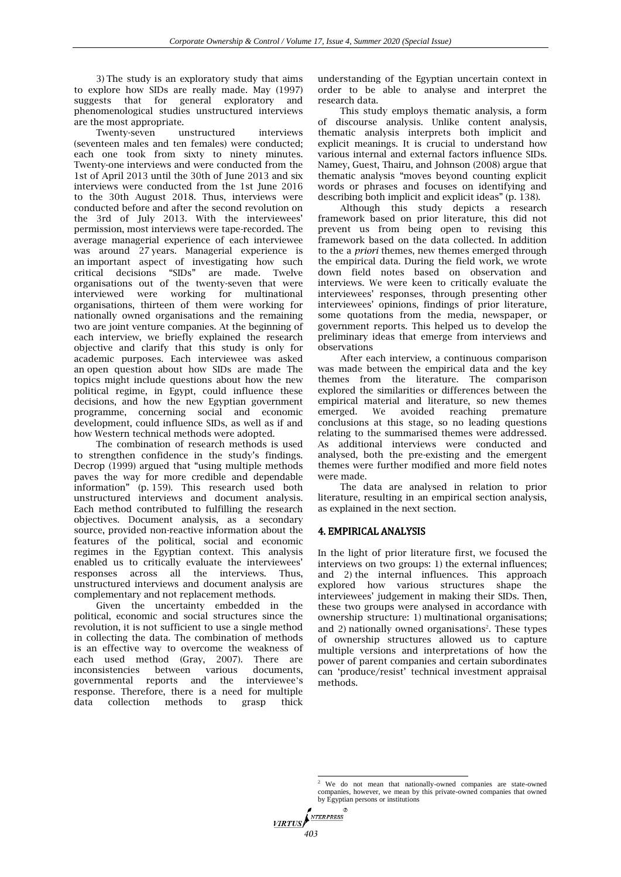3) The study is an exploratory study that aims to explore how SIDs are really made. May (1997) suggests that for general exploratory and phenomenological studies unstructured interviews are the most appropriate.

Twenty-seven unstructured interviews (seventeen males and ten females) were conducted; each one took from sixty to ninety minutes. Twenty-one interviews and were conducted from the 1st of April 2013 until the 30th of June 2013 and six interviews were conducted from the 1st June 2016 to the 30th August 2018. Thus, interviews were conducted before and after the second revolution on the 3rd of July 2013. With the interviewees' permission, most interviews were tape-recorded. The average managerial experience of each interviewee was around 27 years. Managerial experience is an important aspect of investigating how such critical decisions ―SIDs‖ are made. Twelve organisations out of the twenty-seven that were interviewed were working for multinational organisations, thirteen of them were working for nationally owned organisations and the remaining two are joint venture companies. At the beginning of each interview, we briefly explained the research objective and clarify that this study is only for academic purposes. Each interviewee was asked an open question about how SIDs are made The topics might include questions about how the new political regime, in Egypt, could influence these decisions, and how the new Egyptian government programme, concerning social and economic development, could influence SIDs, as well as if and how Western technical methods were adopted.

The combination of research methods is used to strengthen confidence in the study's findings. Decrop  $(1999)$  argued that "using multiple methods paves the way for more credible and dependable information‖ (p. 159). This research used both unstructured interviews and document analysis. Each method contributed to fulfilling the research objectives. Document analysis, as a secondary source, provided non-reactive information about the features of the political, social and economic regimes in the Egyptian context. This analysis enabled us to critically evaluate the interviewees' responses across all the interviews. Thus, unstructured interviews and document analysis are complementary and not replacement methods.

Given the uncertainty embedded in the political, economic and social structures since the revolution, it is not sufficient to use a single method in collecting the data. The combination of methods is an effective way to overcome the weakness of each used method (Gray, 2007). There are inconsistencies between various documents, governmental reports and the interviewee's response. Therefore, there is a need for multiple data collection methods to grasp thick

understanding of the Egyptian uncertain context in order to be able to analyse and interpret the research data.

This study employs thematic analysis, a form of discourse analysis. Unlike content analysis, thematic analysis interprets both implicit and explicit meanings. It is crucial to understand how various internal and external factors influence SIDs. Namey, Guest, Thairu, and Johnson (2008) argue that thematic analysis "moves beyond counting explicit words or phrases and focuses on identifying and describing both implicit and explicit ideas" (p. 138).

Although this study depicts a research framework based on prior literature, this did not prevent us from being open to revising this framework based on the data collected. In addition to the a *priori* themes, new themes emerged through the empirical data. During the field work, we wrote down field notes based on observation and interviews. We were keen to critically evaluate the interviewees' responses, through presenting other interviewees' opinions, findings of prior literature, some quotations from the media, newspaper, or government reports. This helped us to develop the preliminary ideas that emerge from interviews and observations

After each interview, a continuous comparison was made between the empirical data and the key themes from the literature. The comparison explored the similarities or differences between the empirical material and literature, so new themes emerged. We avoided reaching premature conclusions at this stage, so no leading questions relating to the summarised themes were addressed. As additional interviews were conducted and analysed, both the pre-existing and the emergent themes were further modified and more field notes were made.

The data are analysed in relation to prior literature, resulting in an empirical section analysis, as explained in the next section.

### 4. EMPIRICAL ANALYSIS

In the light of prior literature first, we focused the interviews on two groups: 1) the external influences; and 2) the internal influences. This approach explored how various structures shape the interviewees' judgement in making their SIDs. Then, these two groups were analysed in accordance with ownership structure: 1) multinational organisations; and 2) nationally owned organisations<sup>2</sup>. These types of ownership structures allowed us to capture multiple versions and interpretations of how the power of parent companies and certain subordinates can ‗produce/resist' technical investment appraisal methods.

 $\mathcal{D}$ NTERPRESS **VIRTUSI** *403*

 <sup>2</sup> We do not mean that nationally-owned companies are state-owned companies, however, we mean by this private-owned companies that owned by Egyptian persons or institutions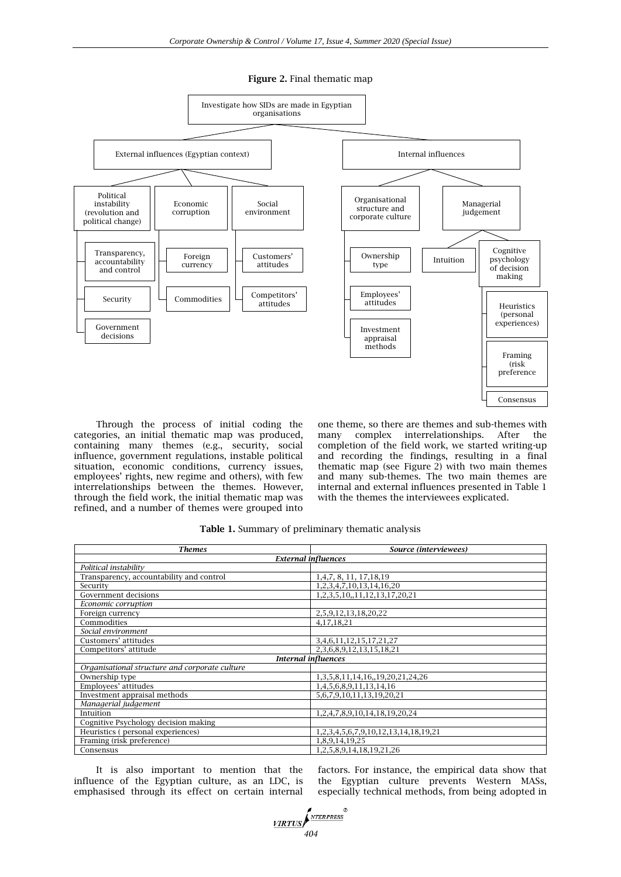**Figure 2.** Final thematic map



Through the process of initial coding the categories, an initial thematic map was produced, containing many themes (e.g., security, social influence, government regulations, instable political situation, economic conditions, currency issues, employees' rights, new regime and others), with few interrelationships between the themes. However, through the field work, the initial thematic map was refined, and a number of themes were grouped into

one theme, so there are themes and sub-themes with many complex interrelationships. After the completion of the field work, we started writing-up and recording the findings, resulting in a final thematic map (see Figure 2) with two main themes and many sub-themes. The two main themes are internal and external influences presented in Table 1 with the themes the interviewees explicated.

|  |  |  |  | Table 1. Summary of preliminary thematic analysis |  |  |  |
|--|--|--|--|---------------------------------------------------|--|--|--|
|--|--|--|--|---------------------------------------------------|--|--|--|

| Themes                                         | Source (interviewees)                      |  |  |  |
|------------------------------------------------|--------------------------------------------|--|--|--|
| <b>External influences</b>                     |                                            |  |  |  |
| Political instability                          |                                            |  |  |  |
| Transparency, accountability and control       | 1, 4, 7, 8, 11, 17, 18, 19                 |  |  |  |
| Security                                       | 1, 2, 3, 4, 7, 10, 13, 14, 16, 20          |  |  |  |
| Government decisions                           | 1, 2, 3, 5, 10, 11, 12, 13, 17, 20, 21     |  |  |  |
| Economic corruption                            |                                            |  |  |  |
| Foreign currency                               | 2,5,9,12,13,18,20,22                       |  |  |  |
| Commodities                                    | 4,17,18,21                                 |  |  |  |
| Social environment                             |                                            |  |  |  |
| Customers' attitudes                           | 3,4,6,11,12,15,17,21,27                    |  |  |  |
| Competitors' attitude                          | 2,3,6,8,9,12,13,15,18,21                   |  |  |  |
| <b>Internal influences</b>                     |                                            |  |  |  |
| Organisational structure and corporate culture |                                            |  |  |  |
| Ownership type                                 | 1, 3, 5, 8, 11, 14, 16, 19, 20, 21, 24, 26 |  |  |  |
| Employees' attitudes                           | 1,4,5,6,8,9,11,13,14,16                    |  |  |  |
| Investment appraisal methods                   | 5,6,7,9,10,11,13,19,20,21                  |  |  |  |
| Managerial judgement                           |                                            |  |  |  |
| Intuition                                      | 1,2,4,7,8,9,10,14,18,19,20,24              |  |  |  |
| Cognitive Psychology decision making           |                                            |  |  |  |
| Heuristics (personal experiences)              | 1,2,3,4,5,6,7,9,10,12,13,14,18,19,21       |  |  |  |
| Framing (risk preference)                      | 1,8,9,14,19,25                             |  |  |  |
| Consensus                                      | 1,2,5,8,9,14,18,19,21,26                   |  |  |  |

It is also important to mention that the influence of the Egyptian culture, as an LDC, is emphasised through its effect on certain internal factors. For instance, the empirical data show that the Egyptian culture prevents Western MASs, especially technical methods, from being adopted in

*VIRTUS* ANTERPRESS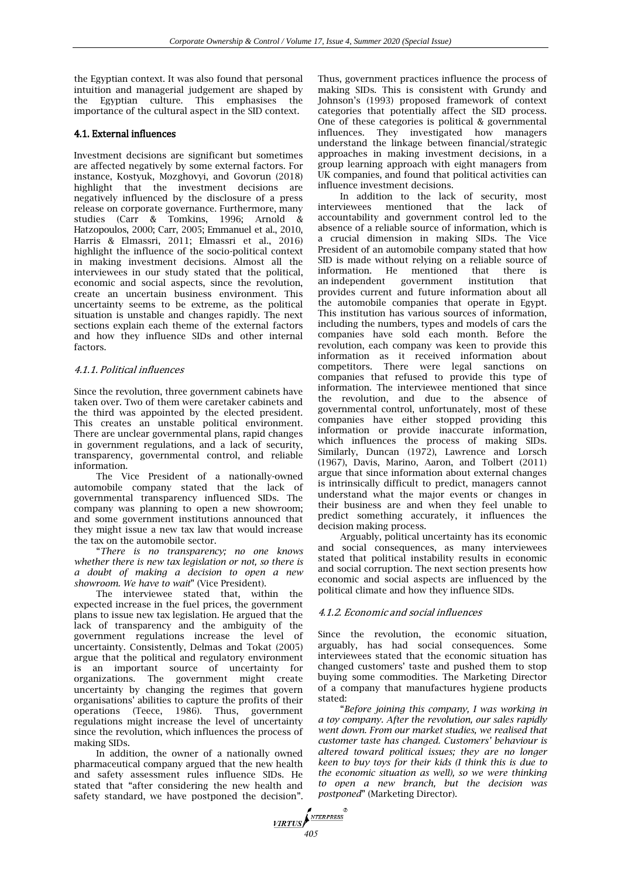the Egyptian context. It was also found that personal intuition and managerial judgement are shaped by the Egyptian culture. This emphasises the importance of the cultural aspect in the SID context.

# 4.1. External influences

Investment decisions are significant but sometimes are affected negatively by some external factors. For instance, Kostyuk, Mozghovyi, and Govorun (2018) highlight that the investment decisions are negatively influenced by the disclosure of a press release on corporate governance. Furthermore, many studies (Carr & Tomkins, 1996; Arnold & Hatzopoulos, 2000; Carr, 2005; Emmanuel et al., 2010, Harris & Elmassri, 2011; Elmassri et al., 2016) highlight the influence of the socio-political context in making investment decisions. Almost all the interviewees in our study stated that the political, economic and social aspects, since the revolution, create an uncertain business environment. This uncertainty seems to be extreme, as the political situation is unstable and changes rapidly. The next sections explain each theme of the external factors and how they influence SIDs and other internal factors.

### 4.1.1. Political influences

Since the revolution, three government cabinets have taken over. Two of them were caretaker cabinets and the third was appointed by the elected president. This creates an unstable political environment. There are unclear governmental plans, rapid changes in government regulations, and a lack of security, transparency, governmental control, and reliable information.

The Vice President of a nationally-owned automobile company stated that the lack of governmental transparency influenced SIDs. The company was planning to open a new showroom; and some government institutions announced that they might issue a new tax law that would increase the tax on the automobile sector.

―*There is no transparency; no one knows whether there is new tax legislation or not, so there is a doubt of making a decision to open a new*  showroom. We have to wait" (Vice President).

The interviewee stated that, within the expected increase in the fuel prices, the government plans to issue new tax legislation. He argued that the lack of transparency and the ambiguity of the government regulations increase the level of uncertainty. Consistently, Delmas and Tokat (2005) argue that the political and regulatory environment is an important source of uncertainty for organizations. The government might create uncertainty by changing the regimes that govern organisations' abilities to capture the profits of their operations (Teece, 1986). Thus, government regulations might increase the level of uncertainty since the revolution, which influences the process of making SIDs.

In addition, the owner of a nationally owned pharmaceutical company argued that the new health and safety assessment rules influence SIDs. He stated that "after considering the new health and safety standard, we have postponed the decision".

*VIRTUS* 

Thus, government practices influence the process of making SIDs. This is consistent with Grundy and Johnson's (1993) proposed framework of context categories that potentially affect the SID process. One of these categories is political & governmental influences. They investigated how managers understand the linkage between financial/strategic approaches in making investment decisions, in a group learning approach with eight managers from UK companies, and found that political activities can influence investment decisions.

In addition to the lack of security, most interviewees mentioned that the lack of accountability and government control led to the absence of a reliable source of information, which is a crucial dimension in making SIDs. The Vice President of an automobile company stated that how SID is made without relying on a reliable source of information. He mentioned that there is an independent government institution that provides current and future information about all the automobile companies that operate in Egypt. This institution has various sources of information, including the numbers, types and models of cars the companies have sold each month. Before the revolution, each company was keen to provide this information as it received information about competitors. There were legal sanctions on companies that refused to provide this type of information. The interviewee mentioned that since the revolution, and due to the absence of governmental control, unfortunately, most of these companies have either stopped providing this information or provide inaccurate information, which influences the process of making SIDs. Similarly, Duncan (1972), Lawrence and Lorsch (1967), Davis, Marino, Aaron, and Tolbert (2011) argue that since information about external changes is intrinsically difficult to predict, managers cannot understand what the major events or changes in their business are and when they feel unable to predict something accurately, it influences the decision making process.

Arguably, political uncertainty has its economic and social consequences, as many interviewees stated that political instability results in economic and social corruption. The next section presents how economic and social aspects are influenced by the political climate and how they influence SIDs.

### 4.1.2. Economic and social influences

Since the revolution, the economic situation, arguably, has had social consequences. Some interviewees stated that the economic situation has changed customers' taste and pushed them to stop buying some commodities. The Marketing Director of a company that manufactures hygiene products stated:

―*Before joining this company, I was working in a toy company. After the revolution, our sales rapidly went down. From our market studies, we realised that customer taste has changed. Customers' behaviour is altered toward political issues; they are no longer keen to buy toys for their kids (I think this is due to the economic situation as well), so we were thinking to open a new branch, but the decision was postponed*" (Marketing Director).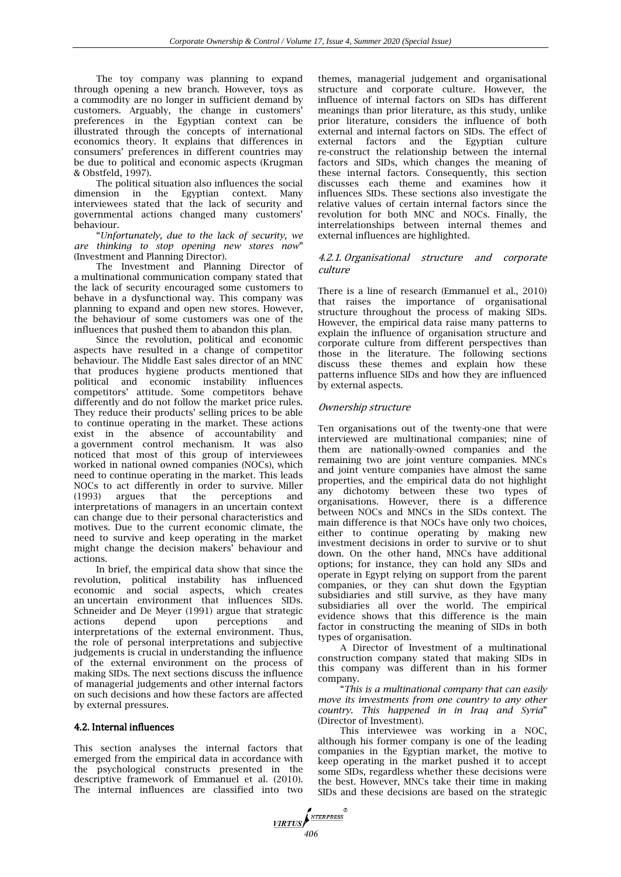The toy company was planning to expand through opening a new branch. However, toys as a commodity are no longer in sufficient demand by customers. Arguably, the change in customers' preferences in the Egyptian context can be illustrated through the concepts of international economics theory. It explains that differences in consumers' preferences in different countries may be due to political and economic aspects (Krugman & Obstfeld, 1997).

The political situation also influences the social dimension in the Egyptian context. Many interviewees stated that the lack of security and governmental actions changed many customers' behaviour.

―*Unfortunately, due to the lack of security, we are thinking to stop opening new stores now*‖ (Investment and Planning Director).

The Investment and Planning Director of a multinational communication company stated that the lack of security encouraged some customers to behave in a dysfunctional way. This company was planning to expand and open new stores. However, the behaviour of some customers was one of the influences that pushed them to abandon this plan.

Since the revolution, political and economic aspects have resulted in a change of competitor behaviour. The Middle East sales director of an MNC that produces hygiene products mentioned that political and economic instability influences competitors' attitude. Some competitors behave differently and do not follow the market price rules. They reduce their products' selling prices to be able to continue operating in the market. These actions exist in the absence of accountability and a government control mechanism. It was also noticed that most of this group of interviewees worked in national owned companies (NOCs), which need to continue operating in the market. This leads NOCs to act differently in order to survive. Miller (1993) argues that the perceptions and interpretations of managers in an uncertain context can change due to their personal characteristics and motives. Due to the current economic climate, the need to survive and keep operating in the market might change the decision makers' behaviour and actions.

In brief, the empirical data show that since the revolution, political instability has influenced economic and social aspects, which creates an uncertain environment that influences SIDs. Schneider and De Meyer (1991) argue that strategic actions depend upon perceptions and interpretations of the external environment. Thus, the role of personal interpretations and subjective judgements is crucial in understanding the influence of the external environment on the process of making SIDs. The next sections discuss the influence of managerial judgements and other internal factors on such decisions and how these factors are affected by external pressures.

### 4.2. Internal influences

This section analyses the internal factors that emerged from the empirical data in accordance with the psychological constructs presented in the descriptive framework of Emmanuel et al. (2010). The internal influences are classified into two

themes, managerial judgement and organisational structure and corporate culture. However, the influence of internal factors on SIDs has different meanings than prior literature, as this study, unlike prior literature, considers the influence of both external and internal factors on SIDs. The effect of external factors and the Egyptian culture re-construct the relationship between the internal factors and SIDs, which changes the meaning of these internal factors. Consequently, this section discusses each theme and examines how it influences SIDs. These sections also investigate the relative values of certain internal factors since the revolution for both MNC and NOCs. Finally, the interrelationships between internal themes and external influences are highlighted.

# 4.2.1. Organisational structure and corporate culture

There is a line of research (Emmanuel et al., 2010) that raises the importance of organisational structure throughout the process of making SIDs. However, the empirical data raise many patterns to explain the influence of organisation structure and corporate culture from different perspectives than those in the literature. The following sections discuss these themes and explain how these patterns influence SIDs and how they are influenced by external aspects.

#### Ownership structure

Ten organisations out of the twenty-one that were interviewed are multinational companies; nine of them are nationally-owned companies and the remaining two are joint venture companies. MNCs and joint venture companies have almost the same properties, and the empirical data do not highlight any dichotomy between these two types of organisations. However, there is a difference between NOCs and MNCs in the SIDs context. The main difference is that NOCs have only two choices, either to continue operating by making new investment decisions in order to survive or to shut down. On the other hand, MNCs have additional options; for instance, they can hold any SIDs and operate in Egypt relying on support from the parent companies, or they can shut down the Egyptian subsidiaries and still survive, as they have many subsidiaries all over the world. The empirical evidence shows that this difference is the main factor in constructing the meaning of SIDs in both types of organisation.

A Director of Investment of a multinational construction company stated that making SIDs in this company was different than in his former company.

―*This is a multinational company that can easily move its investments from one country to any other country. This happened in in Iraq and Syria*‖ (Director of Investment).

This interviewee was working in a NOC, although his former company is one of the leading companies in the Egyptian market, the motive to keep operating in the market pushed it to accept some SIDs, regardless whether these decisions were the best. However, MNCs take their time in making SIDs and these decisions are based on the strategic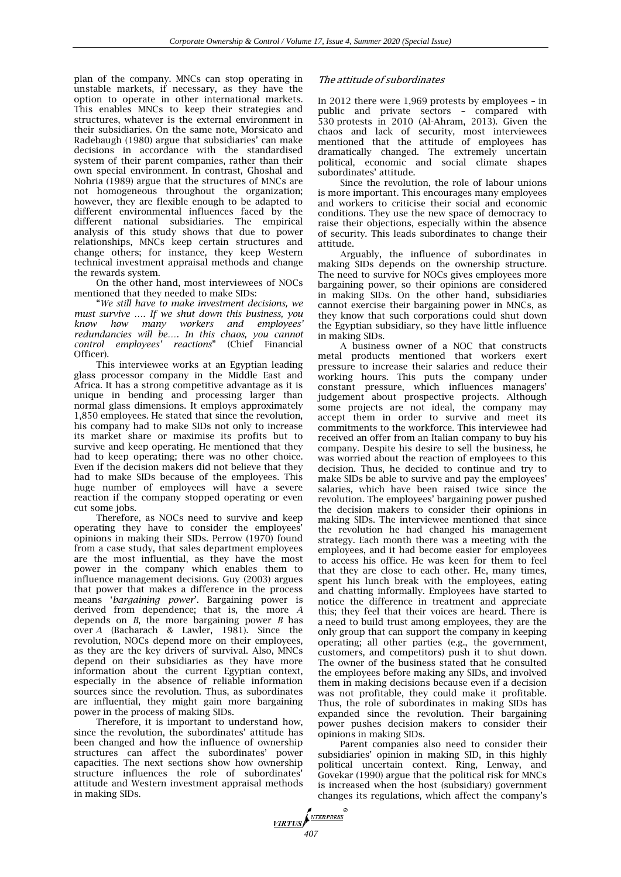plan of the company. MNCs can stop operating in unstable markets, if necessary, as they have the option to operate in other international markets. This enables MNCs to keep their strategies and structures, whatever is the external environment in their subsidiaries. On the same note, Morsicato and Radebaugh (1980) argue that subsidiaries' can make decisions in accordance with the standardised system of their parent companies, rather than their own special environment. In contrast, Ghoshal and Nohria (1989) argue that the structures of MNCs are not homogeneous throughout the organization; however, they are flexible enough to be adapted to different environmental influences faced by the different national subsidiaries. The empirical analysis of this study shows that due to power relationships, MNCs keep certain structures and change others; for instance, they keep Western technical investment appraisal methods and change the rewards system.

On the other hand, most interviewees of NOCs mentioned that they needed to make SIDs:

―*We still have to make investment decisions, we must survive …. If we shut down this business, you know how many workers and employees' redundancies will be…. In this chaos, you cannot control employees' reactions*‖ (Chief Financial Officer).

This interviewee works at an Egyptian leading glass processor company in the Middle East and Africa. It has a strong competitive advantage as it is unique in bending and processing larger than normal glass dimensions. It employs approximately 1,850 employees. He stated that since the revolution, his company had to make SIDs not only to increase its market share or maximise its profits but to survive and keep operating. He mentioned that they had to keep operating; there was no other choice. Even if the decision makers did not believe that they had to make SIDs because of the employees. This huge number of employees will have a severe reaction if the company stopped operating or even cut some jobs.

Therefore, as NOCs need to survive and keep operating they have to consider the employees' opinions in making their SIDs. Perrow (1970) found from a case study, that sales department employees are the most influential, as they have the most power in the company which enables them to influence management decisions. Guy (2003) argues that power that makes a difference in the process means ‗*bargaining power*'. Bargaining power is derived from dependence; that is, the more *A*  depends on *B*, the more bargaining power *B* has over *A* (Bacharach & Lawler, 1981). Since the revolution, NOCs depend more on their employees, as they are the key drivers of survival. Also, MNCs depend on their subsidiaries as they have more information about the current Egyptian context, especially in the absence of reliable information sources since the revolution. Thus, as subordinates are influential, they might gain more bargaining power in the process of making SIDs.

Therefore, it is important to understand how, since the revolution, the subordinates' attitude has been changed and how the influence of ownership structures can affect the subordinates' power capacities. The next sections show how ownership structure influences the role of subordinates' attitude and Western investment appraisal methods in making SIDs.

*MRTUS* ANTERPRESS<sup>®</sup>

# The attitude of subordinates

In 2012 there were 1,969 protests by employees – in public and private sectors – compared with 530 protests in 2010 (Al-Ahram, 2013). Given the chaos and lack of security, most interviewees mentioned that the attitude of employees has dramatically changed. The extremely uncertain political, economic and social climate shapes subordinates' attitude.

Since the revolution, the role of labour unions is more important. This encourages many employees and workers to criticise their social and economic conditions. They use the new space of democracy to raise their objections, especially within the absence of security. This leads subordinates to change their attitude.

Arguably, the influence of subordinates in making SIDs depends on the ownership structure. The need to survive for NOCs gives employees more bargaining power, so their opinions are considered in making SIDs. On the other hand, subsidiaries cannot exercise their bargaining power in MNCs, as they know that such corporations could shut down the Egyptian subsidiary, so they have little influence in making SIDs.

A business owner of a NOC that constructs metal products mentioned that workers exert pressure to increase their salaries and reduce their working hours. This puts the company under constant pressure, which influences managers' judgement about prospective projects. Although some projects are not ideal, the company may accept them in order to survive and meet its commitments to the workforce. This interviewee had received an offer from an Italian company to buy his company. Despite his desire to sell the business, he was worried about the reaction of employees to this decision. Thus, he decided to continue and try to make SIDs be able to survive and pay the employees' salaries, which have been raised twice since the revolution. The employees' bargaining power pushed the decision makers to consider their opinions in making SIDs. The interviewee mentioned that since the revolution he had changed his management strategy. Each month there was a meeting with the employees, and it had become easier for employees to access his office. He was keen for them to feel that they are close to each other. He, many times, spent his lunch break with the employees, eating and chatting informally. Employees have started to notice the difference in treatment and appreciate this; they feel that their voices are heard. There is a need to build trust among employees, they are the only group that can support the company in keeping operating; all other parties (e.g., the government, customers, and competitors) push it to shut down. The owner of the business stated that he consulted the employees before making any SIDs, and involved them in making decisions because even if a decision was not profitable, they could make it profitable. Thus, the role of subordinates in making SIDs has expanded since the revolution. Their bargaining power pushes decision makers to consider their opinions in making SIDs.

Parent companies also need to consider their subsidiaries' opinion in making SID, in this highly political uncertain context. Ring, Lenway, and Govekar (1990) argue that the political risk for MNCs is increased when the host (subsidiary) government changes its regulations, which affect the company's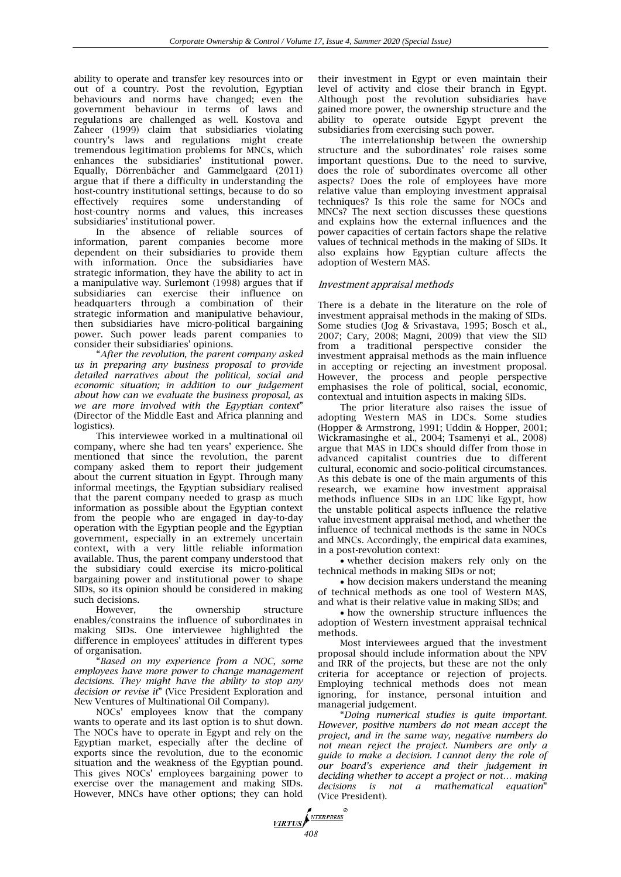ability to operate and transfer key resources into or out of a country. Post the revolution, Egyptian behaviours and norms have changed; even the government behaviour in terms of laws and regulations are challenged as well. Kostova and Zaheer (1999) claim that subsidiaries violating country's laws and regulations might create tremendous legitimation problems for MNCs, which  $enhances$  the subsidiaries' institutional power. Equally, Dörrenbächer and Gammelgaard (2011) argue that if there a difficulty in understanding the host-country institutional settings, because to do so effectively requires some understanding of host-country norms and values, this increases subsidiaries' institutional power.

In the absence of reliable sources of information, parent companies become more dependent on their subsidiaries to provide them with information. Once the subsidiaries have strategic information, they have the ability to act in a manipulative way. Surlemont (1998) argues that if subsidiaries can exercise their influence on headquarters through a combination of their strategic information and manipulative behaviour, then subsidiaries have micro-political bargaining power. Such power leads parent companies to consider their subsidiaries' opinions.

―*After the revolution, the parent company asked us in preparing any business proposal to provide detailed narratives about the political, social and economic situation; in addition to our judgement about how can we evaluate the business proposal, as*  we are more involved with the Egyptian context" (Director of the Middle East and Africa planning and logistics).

This interviewee worked in a multinational oil company, where she had ten years' experience. She mentioned that since the revolution, the parent company asked them to report their judgement about the current situation in Egypt. Through many informal meetings, the Egyptian subsidiary realised that the parent company needed to grasp as much information as possible about the Egyptian context from the people who are engaged in day-to-day operation with the Egyptian people and the Egyptian government, especially in an extremely uncertain context, with a very little reliable information available. Thus, the parent company understood that the subsidiary could exercise its micro-political bargaining power and institutional power to shape SIDs, so its opinion should be considered in making such decisions.

However, the ownership structure enables/constrains the influence of subordinates in making SIDs. One interviewee highlighted the difference in employees' attitudes in different types of organisation.

―*Based on my experience from a NOC, some employees have more power to change management decisions. They might have the ability to stop any decision or revise it*‖ (Vice President Exploration and New Ventures of Multinational Oil Company).

NOCs' employees know that the company wants to operate and its last option is to shut down. The NOCs have to operate in Egypt and rely on the Egyptian market, especially after the decline of exports since the revolution, due to the economic situation and the weakness of the Egyptian pound. This gives NOCs' employees bargaining power to exercise over the management and making SIDs. However, MNCs have other options; they can hold their investment in Egypt or even maintain their level of activity and close their branch in Egypt. Although post the revolution subsidiaries have gained more power, the ownership structure and the ability to operate outside Egypt prevent the subsidiaries from exercising such power.

The interrelationship between the ownership structure and the subordinates' role raises some important questions. Due to the need to survive, does the role of subordinates overcome all other aspects? Does the role of employees have more relative value than employing investment appraisal techniques? Is this role the same for NOCs and MNCs? The next section discusses these questions and explains how the external influences and the power capacities of certain factors shape the relative values of technical methods in the making of SIDs. It also explains how Egyptian culture affects the adoption of Western MAS.

### Investment appraisal methods

There is a debate in the literature on the role of investment appraisal methods in the making of SIDs. Some studies (Jog & Srivastava, 1995; Bosch et al., 2007; Cary, 2008; Magni, 2009) that view the SID from a traditional perspective consider the investment appraisal methods as the main influence in accepting or rejecting an investment proposal. However, the process and people perspective emphasises the role of political, social, economic, contextual and intuition aspects in making SIDs.

The prior literature also raises the issue of adopting Western MAS in LDCs. Some studies (Hopper & Armstrong, 1991; Uddin & Hopper, 2001; Wickramasinghe et al., 2004; Tsamenyi et al., 2008) argue that MAS in LDCs should differ from those in advanced capitalist countries due to different cultural, economic and socio-political circumstances. As this debate is one of the main arguments of this research, we examine how investment appraisal methods influence SIDs in an LDC like Egypt, how the unstable political aspects influence the relative value investment appraisal method, and whether the influence of technical methods is the same in NOCs and MNCs. Accordingly, the empirical data examines, in a post-revolution context:

 whether decision makers rely only on the technical methods in making SIDs or not;

• how decision makers understand the meaning of technical methods as one tool of Western MAS, and what is their relative value in making SIDs; and

 how the ownership structure influences the adoption of Western investment appraisal technical methods.

Most interviewees argued that the investment proposal should include information about the NPV and IRR of the projects, but these are not the only criteria for acceptance or rejection of projects. Employing technical methods does not mean ignoring, for instance, personal intuition and managerial judgement.

―*Doing numerical studies is quite important. However, positive numbers do not mean accept the project, and in the same way, negative numbers do not mean reject the project. Numbers are only a guide to make a decision. I cannot deny the role of our board's experience and their judgement in deciding whether to accept a project or not… making*  decisions is not a mathematical equation<sup>"</sup> (Vice President).

**VIRTUS**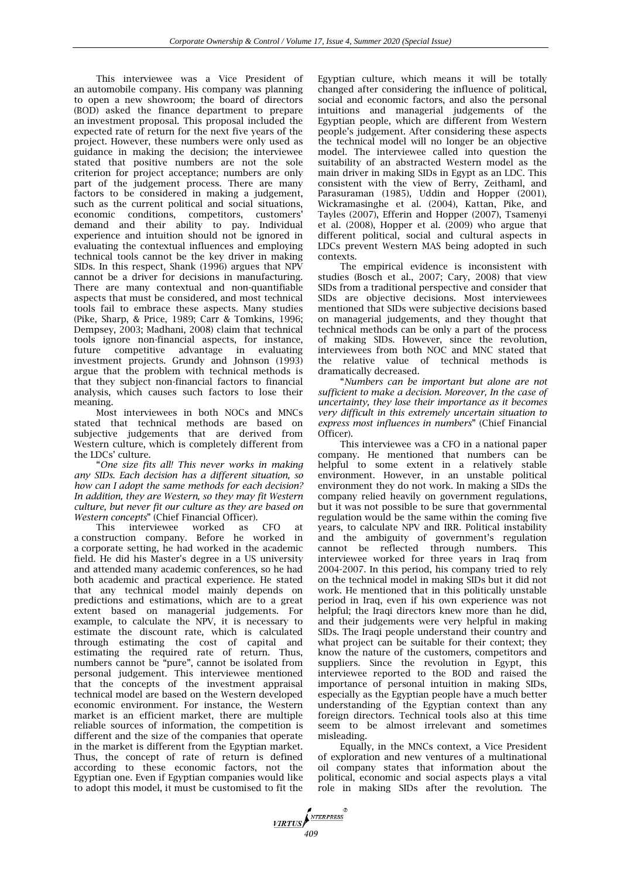This interviewee was a Vice President of an automobile company. His company was planning to open a new showroom; the board of directors (BOD) asked the finance department to prepare an investment proposal. This proposal included the expected rate of return for the next five years of the project. However, these numbers were only used as guidance in making the decision; the interviewee stated that positive numbers are not the sole criterion for project acceptance; numbers are only part of the judgement process. There are many factors to be considered in making a judgement, such as the current political and social situations, economic conditions, competitors, customers' demand and their ability to pay. Individual experience and intuition should not be ignored in evaluating the contextual influences and employing technical tools cannot be the key driver in making SIDs. In this respect, Shank (1996) argues that  $NPV$ cannot be a driver for decisions in manufacturing. There are many contextual and non-quantifiable aspects that must be considered, and most technical tools fail to embrace these aspects. Many studies (Pike, Sharp, & Price, 1989; Carr & Tomkins, 1996; Dempsey, 2003; Madhani, 2008) claim that technical tools ignore non-financial aspects, for instance, future competitive advantage in evaluating investment projects. Grundy and Johnson (1993) argue that the problem with technical methods is that they subject non-financial factors to financial analysis, which causes such factors to lose their meaning.

Most interviewees in both NOCs and MNCs stated that technical methods are based on subjective judgements that are derived from Western culture, which is completely different from the LDCs' culture.

―*One size fits all! This never works in making any SIDs. Each decision has a different situation, so how can I adopt the same methods for each decision? In addition, they are Western, so they may fit Western culture, but never fit our culture as they are based on Western concepts*‖ (Chief Financial Officer).

This interviewee worked as CFO at a construction company. Before he worked in a corporate setting, he had worked in the academic field. He did his Master's degree in a US university and attended many academic conferences, so he had both academic and practical experience. He stated that any technical model mainly depends on predictions and estimations, which are to a great extent based on managerial judgements. For example, to calculate the NPV, it is necessary to estimate the discount rate, which is calculated through estimating the cost of capital and estimating the required rate of return. Thus, numbers cannot be "pure", cannot be isolated from personal judgement. This interviewee mentioned that the concepts of the investment appraisal technical model are based on the Western developed economic environment. For instance, the Western market is an efficient market, there are multiple reliable sources of information, the competition is different and the size of the companies that operate in the market is different from the Egyptian market. Thus, the concept of rate of return is defined according to these economic factors, not the Egyptian one. Even if Egyptian companies would like to adopt this model, it must be customised to fit the Egyptian culture, which means it will be totally changed after considering the influence of political, social and economic factors, and also the personal intuitions and managerial judgements of the Egyptian people, which are different from Western people's judgement. After considering these aspects the technical model will no longer be an objective model. The interviewee called into question the suitability of an abstracted Western model as the main driver in making SIDs in Egypt as an LDC. This consistent with the view of Berry, Zeithaml, and Parasuraman (1985), Uddin and Hopper (2001), Wickramasinghe et al. (2004), Kattan, Pike, and Tayles (2007), Efferin and Hopper (2007), Tsamenyi et al. (2008), Hopper et al. (2009) who argue that different political, social and cultural aspects in LDCs prevent Western MAS being adopted in such contexts.

The empirical evidence is inconsistent with studies (Bosch et al., 2007; Cary, 2008) that view SIDs from a traditional perspective and consider that SIDs are objective decisions. Most interviewees mentioned that SIDs were subjective decisions based on managerial judgements, and they thought that technical methods can be only a part of the process of making SIDs. However, since the revolution, interviewees from both NOC and MNC stated that the relative value of technical methods is dramatically decreased.

―*Numbers can be important but alone are not sufficient to make a decision. Moreover, In the case of uncertainty, they lose their importance as it becomes very difficult in this extremely uncertain situation to express most influences in numbers*‖ (Chief Financial Officer).

This interviewee was a CFO in a national paper company. He mentioned that numbers can be helpful to some extent in a relatively stable environment. However, in an unstable political environment they do not work. In making a SIDs the company relied heavily on government regulations, but it was not possible to be sure that governmental regulation would be the same within the coming five years, to calculate NPV and IRR. Political instability and the ambiguity of government's regulation cannot be reflected through numbers. This interviewee worked for three years in Iraq from 2004-2007. In this period, his company tried to rely on the technical model in making SIDs but it did not work. He mentioned that in this politically unstable period in Iraq, even if his own experience was not helpful; the Iraqi directors knew more than he did. and their judgements were very helpful in making SIDs. The Iraqi people understand their country and what project can be suitable for their context; they know the nature of the customers, competitors and suppliers. Since the revolution in Egypt, this interviewee reported to the BOD and raised the importance of personal intuition in making SIDs, especially as the Egyptian people have a much better understanding of the Egyptian context than any foreign directors. Technical tools also at this time seem to be almost irrelevant and sometimes misleading.

Equally, in the MNCs context, a Vice President of exploration and new ventures of a multinational oil company states that information about the political, economic and social aspects plays a vital role in making SIDs after the revolution. The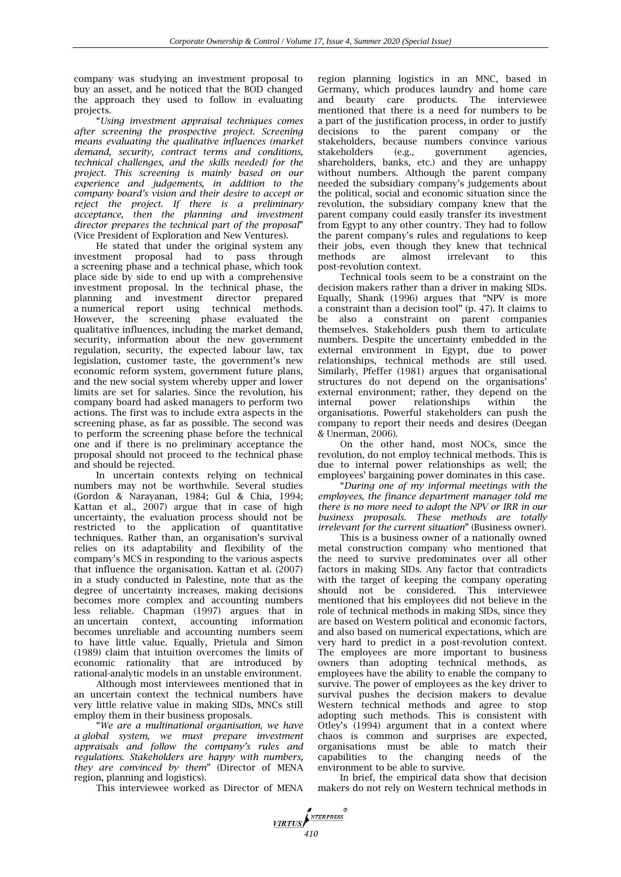company was studying an investment proposal to buy an asset, and he noticed that the BOD changed the approach they used to follow in evaluating projects.

―*Using investment appraisal techniques comes after screening the prospective project. Screening means evaluating the qualitative influences (market demand, security, contract terms and conditions, technical challenges, and the skills needed) for the project. This screening is mainly based on our experience and judgements, in addition to the company board's vision and their desire to accept or reject the project. If there is a preliminary acceptance, then the planning and investment director prepares the technical part of the proposal* (Vice President of Exploration and New Ventures).

He stated that under the original system any investment proposal had to pass through a screening phase and a technical phase, which took place side by side to end up with a comprehensive investment proposal. In the technical phase, the planning and investment director prepared a numerical report using technical methods. However, the screening phase evaluated the qualitative influences, including the market demand, security, information about the new government regulation, security, the expected labour law, tax legislation, customer taste, the government's new economic reform system, government future plans, and the new social system whereby upper and lower limits are set for salaries. Since the revolution, his company board had asked managers to perform two actions. The first was to include extra aspects in the screening phase, as far as possible. The second was to perform the screening phase before the technical one and if there is no preliminary acceptance the proposal should not proceed to the technical phase and should be rejected.

In uncertain contexts relying on technical numbers may not be worthwhile. Several studies (Gordon & Narayanan, 1984; Gul & Chia, 1994; Kattan et al., 2007) argue that in case of high uncertainty, the evaluation process should not be restricted to the application of quantitative techniques. Rather than, an organisation's survival relies on its adaptability and flexibility of the company's MCS in responding to the various aspects that influence the organisation. Kattan et al. (2007) in a study conducted in Palestine, note that as the degree of uncertainty increases, making decisions becomes more complex and accounting numbers less reliable. Chapman (1997) argues that in an uncertain context, accounting information becomes unreliable and accounting numbers seem to have little value. Equally, Prietula and Simon (1989) claim that intuition overcomes the limits of economic rationality that are introduced by rational-analytic models in an unstable environment.

Although most interviewees mentioned that in an uncertain context the technical numbers have very little relative value in making SIDs, MNCs still employ them in their business proposals.

―*We are a multinational organisation, we have a global system, we must prepare investment appraisals and follow the company's rules and regulations. Stakeholders are happy with numbers, they are convinced by them*‖ (Director of MENA region, planning and logistics).

This interviewee worked as Director of MENA

region planning logistics in an MNC, based in Germany, which produces laundry and home care and beauty care products. The interviewee mentioned that there is a need for numbers to be a part of the justification process, in order to justify decisions to the parent company or the stakeholders, because numbers convince various stakeholders (e.g., government agencies, stakeholders (e.g., government agencies, shareholders, banks, etc.) and they are unhappy without numbers. Although the parent company needed the subsidiary company's judgements about the political, social and economic situation since the revolution, the subsidiary company knew that the parent company could easily transfer its investment from Egypt to any other country. They had to follow the parent company's rules and regulations to keep their jobs, even though they knew that technical methods are almost irrelevant to this post-revolution context.

Technical tools seem to be a constraint on the decision makers rather than a driver in making SIDs. Equally, Shank  $(1996)$  argues that "NPV is more a constraint than a decision tool" (p. 47). It claims to be also a constraint on parent companies themselves. Stakeholders push them to articulate numbers. Despite the uncertainty embedded in the external environment in Egypt, due to power relationships, technical methods are still used. Similarly, Pfeffer (1981) argues that organisational structures do not depend on the organisations' external environment; rather, they depend on the internal power relationships within the organisations. Powerful stakeholders can push the company to report their needs and desires (Deegan & Unerman, 2006).

On the other hand, most NOCs, since the revolution, do not employ technical methods. This is due to internal power relationships as well; the employees' bargaining power dominates in this case.

―*During one of my informal meetings with the employees, the finance department manager told me there is no more need to adopt the NPV or IRR in our business proposals. These methods are totally irrelevant for the current situation*" (Business owner).

This is a business owner of a nationally owned metal construction company who mentioned that the need to survive predominates over all other factors in making SIDs. Any factor that contradicts with the target of keeping the company operating should not be considered. This interviewee mentioned that his employees did not believe in the role of technical methods in making SIDs, since they are based on Western political and economic factors, and also based on numerical expectations, which are very hard to predict in a post-revolution context. The employees are more important to business owners than adopting technical methods, as employees have the ability to enable the company to survive. The power of employees as the key driver to survival pushes the decision makers to devalue Western technical methods and agree to stop adopting such methods. This is consistent with Otley's (1994) argument that in a context where chaos is common and surprises are expected, organisations must be able to match their capabilities to the changing needs of the environment to be able to survive.

In brief, the empirical data show that decision makers do not rely on Western technical methods in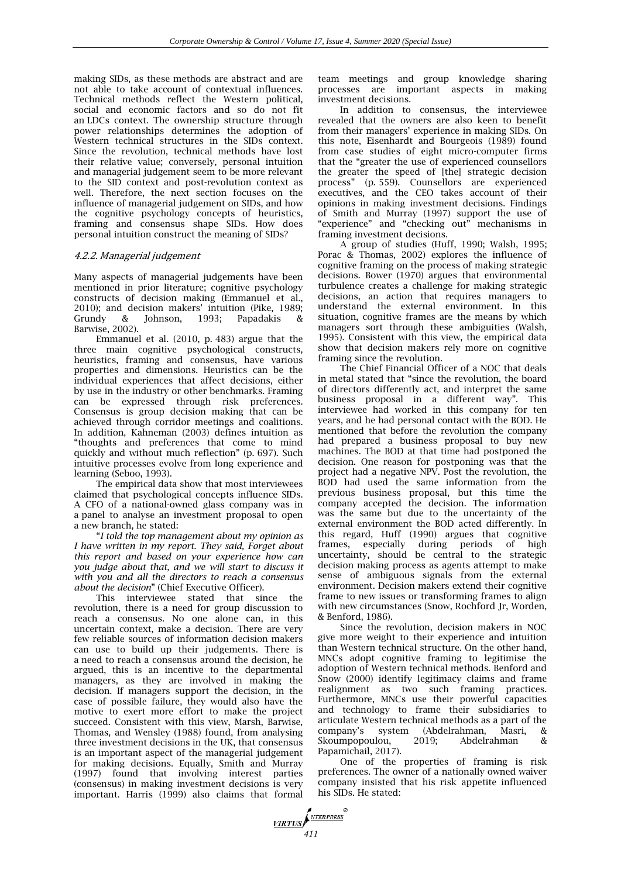making SIDs, as these methods are abstract and are not able to take account of contextual influences. Technical methods reflect the Western political, social and economic factors and so do not fit an LDCs context. The ownership structure through power relationships determines the adoption of Western technical structures in the SIDs context. Since the revolution, technical methods have lost their relative value; conversely, personal intuition and managerial judgement seem to be more relevant to the SID context and post-revolution context as well. Therefore, the next section focuses on the influence of managerial judgement on SIDs, and how the cognitive psychology concepts of heuristics, framing and consensus shape SIDs. How does personal intuition construct the meaning of SIDs?

# 4.2.2. Managerial judgement

Many aspects of managerial judgements have been mentioned in prior literature; cognitive psychology constructs of decision making (Emmanuel et al., 2010); and decision makers' intuition (Pike, 1989; Grundy & Johnson, 1993; Papadakis & Barwise, 2002).

Emmanuel et al. (2010, p. 483) argue that the three main cognitive psychological constructs, heuristics, framing and consensus, have various properties and dimensions. Heuristics can be the individual experiences that affect decisions, either by use in the industry or other benchmarks. Framing can be expressed through risk preferences. Consensus is group decision making that can be achieved through corridor meetings and coalitions. In addition, Kahneman (2003) defines intuition as "thoughts and preferences that come to mind quickly and without much reflection" (p. 697). Such intuitive processes evolve from long experience and learning (Seboo, 1993).

The empirical data show that most interviewees claimed that psychological concepts influence SIDs. A CFO of a national-owned glass company was in a panel to analyse an investment proposal to open a new branch, he stated:

―*I told the top management about my opinion as I have written in my report. They said, Forget about this report and based on your experience how can you judge about that, and we will start to discuss it with you and all the directors to reach a consensus about the decision*‖ (Chief Executive Officer).

This interviewee stated that since the revolution, there is a need for group discussion to reach a consensus. No one alone can, in this uncertain context, make a decision. There are very few reliable sources of information decision makers can use to build up their judgements. There is a need to reach a consensus around the decision, he argued, this is an incentive to the departmental managers, as they are involved in making the decision. If managers support the decision, in the case of possible failure, they would also have the motive to exert more effort to make the project succeed. Consistent with this view, Marsh, Barwise, Thomas, and Wensley (1988) found, from analysing three investment decisions in the UK, that consensus is an important aspect of the managerial judgement for making decisions. Equally, Smith and Murray (1997) found that involving interest parties (consensus) in making investment decisions is very important. Harris (1999) also claims that formal team meetings and group knowledge sharing processes are important aspects in making investment decisions.

In addition to consensus, the interviewee revealed that the owners are also keen to benefit from their managers' experience in making SIDs. On this note, Eisenhardt and Bourgeois (1989) found from case studies of eight micro-computer firms that the "greater the use of experienced counsellors the greater the speed of [the] strategic decision process‖ (p. 559). Counsellors are experienced executives, and the CEO takes account of their opinions in making investment decisions. Findings of Smith and Murray (1997) support the use of "experience" and "checking out" mechanisms in framing investment decisions.

A group of studies (Huff, 1990; Walsh, 1995; Porac & Thomas, 2002) explores the influence of cognitive framing on the process of making strategic decisions. Bower (1970) argues that environmental turbulence creates a challenge for making strategic decisions, an action that requires managers to understand the external environment. In this situation, cognitive frames are the means by which managers sort through these ambiguities (Walsh, 1995). Consistent with this view, the empirical data show that decision makers rely more on cognitive framing since the revolution.

The Chief Financial Officer of a NOC that deals in metal stated that "since the revolution, the board of directors differently act, and interpret the same business proposal in a different way". This interviewee had worked in this company for ten years, and he had personal contact with the BOD. He mentioned that before the revolution the company had prepared a business proposal to buy new machines. The BOD at that time had postponed the decision. One reason for postponing was that the project had a negative NPV. Post the revolution, the BOD had used the same information from the previous business proposal, but this time the company accepted the decision. The information was the same but due to the uncertainty of the external environment the BOD acted differently. In this regard, Huff (1990) argues that cognitive frames, especially during periods of high uncertainty, should be central to the strategic decision making process as agents attempt to make sense of ambiguous signals from the external environment. Decision makers extend their cognitive frame to new issues or transforming frames to align with new circumstances (Snow, Rochford Jr, Worden, & Benford, 1986).

Since the revolution, decision makers in NOC give more weight to their experience and intuition than Western technical structure. On the other hand, MNCs adopt cognitive framing to legitimise the adoption of Western technical methods. Benford and Snow (2000) identify legitimacy claims and frame realignment as two such framing practices. Furthermore, MNCs use their powerful capacities and technology to frame their subsidiaries to articulate Western technical methods as a part of the company's system (Abdelrahman, Masri, & Skoumpopoulou, 2019; Abdelrahman & Papamichail, 2017).

One of the properties of framing is risk preferences. The owner of a nationally owned waiver company insisted that his risk appetite influenced his SIDs. He stated:

*MRTUS*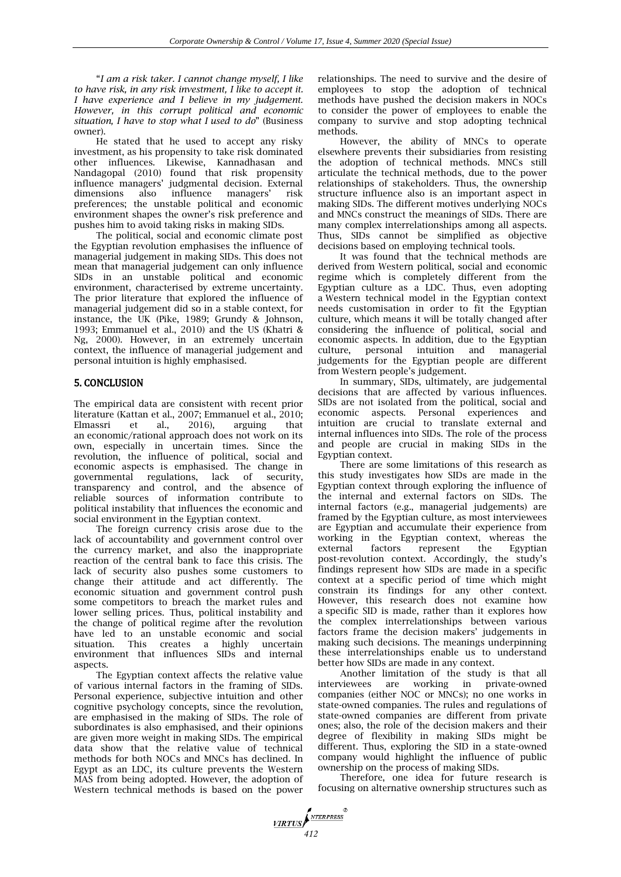―*I am a risk taker. I cannot change myself, I like to have risk, in any risk investment, I like to accept it. I have experience and I believe in my judgement. However, in this corrupt political and economic situation, I have to stop what I used to do*‖ (Business owner).

He stated that he used to accept any risky investment, as his propensity to take risk dominated other influences. Likewise, Kannadhasan and Nandagopal (2010) found that risk propensity influence managers' judgmental decision. External dimensions also influence managers' risk preferences; the unstable political and economic environment shapes the owner's risk preference and pushes him to avoid taking risks in making SIDs.

The political, social and economic climate post the Egyptian revolution emphasises the influence of managerial judgement in making SIDs. This does not mean that managerial judgement can only influence SIDs in an unstable political and economic environment, characterised by extreme uncertainty. The prior literature that explored the influence of managerial judgement did so in a stable context, for instance, the UK (Pike, 1989; Grundy & Johnson, 1993; Emmanuel et al., 2010) and the US (Khatri & Ng, 2000). However, in an extremely uncertain context, the influence of managerial judgement and personal intuition is highly emphasised.

# 5. CONCLUSION

The empirical data are consistent with recent prior literature (Kattan et al., 2007; Emmanuel et al., 2010; Elmassri et al., 2016), arguing that an economic/rational approach does not work on its own, especially in uncertain times. Since the revolution, the influence of political, social and economic aspects is emphasised. The change in governmental regulations, lack of security, transparency and control, and the absence of reliable sources of information contribute to political instability that influences the economic and social environment in the Egyptian context.

The foreign currency crisis arose due to the lack of accountability and government control over the currency market, and also the inappropriate reaction of the central bank to face this crisis. The lack of security also pushes some customers to change their attitude and act differently. The economic situation and government control push some competitors to breach the market rules and lower selling prices. Thus, political instability and the change of political regime after the revolution have led to an unstable economic and social situation. This creates a highly uncertain environment that influences SIDs and internal aspects.

The Egyptian context affects the relative value of various internal factors in the framing of SIDs. Personal experience, subjective intuition and other cognitive psychology concepts, since the revolution, are emphasised in the making of SIDs. The role of subordinates is also emphasised, and their opinions are given more weight in making SIDs. The empirical data show that the relative value of technical methods for both NOCs and MNCs has declined. In Egypt as an LDC, its culture prevents the Western MAS from being adopted. However, the adoption of Western technical methods is based on the power relationships. The need to survive and the desire of employees to stop the adoption of technical methods have pushed the decision makers in NOCs to consider the power of employees to enable the company to survive and stop adopting technical methods.

However, the ability of MNCs to operate elsewhere prevents their subsidiaries from resisting the adoption of technical methods. MNCs still articulate the technical methods, due to the power relationships of stakeholders. Thus, the ownership structure influence also is an important aspect in making SIDs. The different motives underlying NOCs and MNCs construct the meanings of SIDs. There are many complex interrelationships among all aspects. Thus, SIDs cannot be simplified as objective decisions based on employing technical tools.

It was found that the technical methods are derived from Western political, social and economic regime which is completely different from the Egyptian culture as a LDC. Thus, even adopting a Western technical model in the Egyptian context needs customisation in order to fit the Egyptian culture, which means it will be totally changed after considering the influence of political, social and economic aspects. In addition, due to the Egyptian culture, personal intuition and managerial judgements for the Egyptian people are different from Western people's judgement.

In summary, SIDs, ultimately, are judgemental decisions that are affected by various influences. SIDs are not isolated from the political, social and economic aspects. Personal experiences and intuition are crucial to translate external and internal influences into SIDs. The role of the process and people are crucial in making SIDs in the Egyptian context.

There are some limitations of this research as this study investigates how SIDs are made in the Egyptian context through exploring the influence of the internal and external factors on SIDs. The internal factors (e.g., managerial judgements) are framed by the Egyptian culture, as most interviewees are Egyptian and accumulate their experience from working in the Egyptian context, whereas the external factors represent the Egyptian post-revolution context. Accordingly, the study's findings represent how SIDs are made in a specific context at a specific period of time which might constrain its findings for any other context. However, this research does not examine how a specific SID is made, rather than it explores how the complex interrelationships between various factors frame the decision makers' judgements in making such decisions. The meanings underpinning these interrelationships enable us to understand better how SIDs are made in any context.

Another limitation of the study is that all interviewees are working in private-owned companies (either NOC or MNCs); no one works in state-owned companies. The rules and regulations of state-owned companies are different from private ones; also, the role of the decision makers and their degree of flexibility in making SIDs might be different. Thus, exploring the SID in a state-owned company would highlight the influence of public ownership on the process of making SIDs.

Therefore, one idea for future research is focusing on alternative ownership structures such as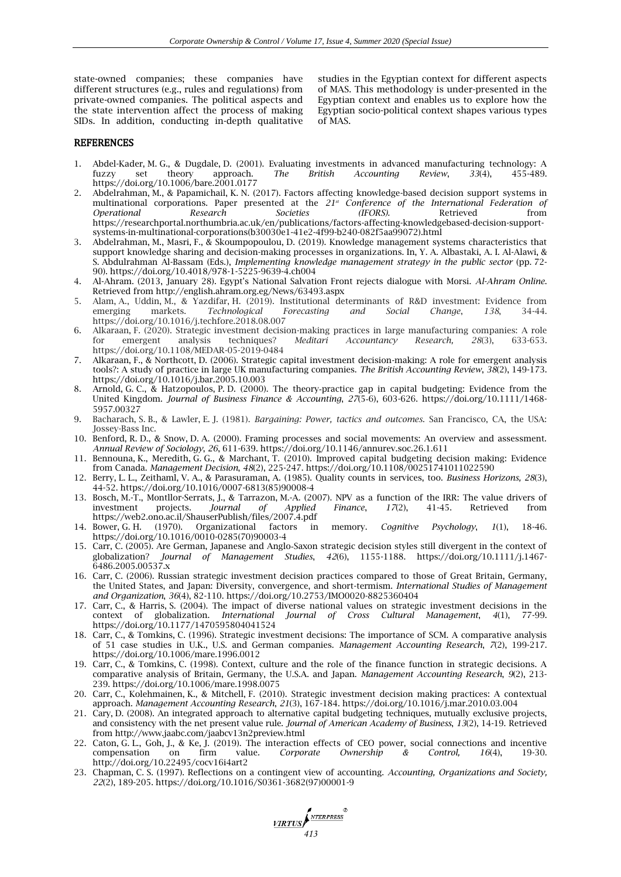state-owned companies; these companies have different structures (e.g., rules and regulations) from private-owned companies. The political aspects and the state intervention affect the process of making SIDs. In addition, conducting in-depth qualitative studies in the Egyptian context for different aspects of MAS. This methodology is under-presented in the Egyptian context and enables us to explore how the Egyptian socio-political context shapes various types of MAS.

#### **REFERENCES**

- 1. Abdel-Kader, M. G., & Dugdale, D. (2001). Evaluating investments in advanced manufacturing technology: A fuzzy set theory approach. *The British Accounting Review*, *33*(4), 455-489. https://doi.org/10.1006/bare.2001.0177
- 2. Abdelrahman, M., & Papamichail, K. N. (2017). Factors affecting knowledge-based decision support systems in multinational corporations. Paper presented at the *21st Conference of the International Federation of Operational Research Societies (IFORS).* Retrieved from https://researchportal.northumbria.ac.uk/en/publications/factors-affecting-knowledgebased-decision-supportsystems-in-multinational-corporations(b30030e1-41e2-4f99-b240-082f5aa99072).html
- 3. Abdelrahman, M., Masri, F., & Skoumpopoulou, D. (2019). Knowledge management systems characteristics that support knowledge sharing and decision-making processes in organizations. In, Y. A. Albastaki, A. I. Al-Alawi, & S. Abdulrahman Al-Bassam (Eds.), *Implementing knowledge management strategy in the public sector* (pp. 72- 90). https://doi.org/10.4018/978-1-5225-9639-4.ch004
- 4. Al-Ahram. (2013, January 28). Egypt's National Salvation Front rejects dialogue with Morsi. *Al-Ahram Online*. Retrieved fro[m http://english.ahram.org.eg/News/63493.aspx](http://english.ahram.org.eg/News/63493.aspx)
- 5. Alam, A., Uddin, M., & Yazdifar, H. (2019). Institutional determinants of R&D investment: Evidence from emerging markets. *Technological Forecasting and Social Change*, *138*, 34-44. https://doi.org/10.1016/j.techfore.2018.08.007
- 6. Alkaraan, F. (2020). Strategic investment decision-making practices in large manufacturing companies: A role for emergent analysis techniques? *Meditari Accountancy Research, 28*(3), 633-653*.* https://doi.org/10.1108/MEDAR-05-2019-0484
- 7. Alkaraan, F., & Northcott, D. (2006). Strategic capital investment decision-making: A role for emergent analysis tools?: A study of practice in large UK manufacturing companies. *The British Accounting Review*, *38*(2), 149-173. https://doi.org/10.1016/j.bar.2005.10.003
- 8. Arnold, G. C., & Hatzopoulos, P. D. (2000). The theory-practice gap in capital budgeting: Evidence from the United Kingdom. *Journal of Business Finance & Accounting*, *27*(5‐6), 603-626. https://doi.org/10.1111/1468- 5957.00327
- 9. Bacharach, S. B., & Lawler, E. J. (1981). *Bargaining: Power, tactics and outcomes*. San Francisco, CA, the USA: Jossey-Bass Inc.
- 10. Benford, R. D., & Snow, D. A. (2000). Framing processes and social movements: An overview and assessment. *Annual Review of Sociology*, *26*, 611-639. https://doi.org/10.1146/annurev.soc.26.1.611
- 11. Bennouna, K., Meredith, G. G., & Marchant, T. (2010). Improved capital budgeting decision making: Evidence from Canada. *Management Decision*, *48*(2), 225-247. https://doi.org/10.1108/00251741011022590
- 12. Berry, L. L., Zeithaml, V. A., & Parasuraman, A. (1985). Quality counts in services, too. *Business Horizons, 28*(3), 44-52. https://doi.org/10.1016/0007-6813(85)90008-4
- 13. Bosch, M.-T., Montllor-Serrats, J., & Tarrazon, M.-A. (2007). NPV as a function of the IRR: The value drivers of investment projects. *Journal of Applied Finance*, *17*(2), 41-45. Retrieved from https://web2.ono.ac.il/ShauserPublish/files/2007.4.pdf
- 14. Bower, G. H. (1970). Organizational factors in memory. *Cognitive Psychology*, *1*(1), 18-46. https://doi.org/10.1016/0010-0285(70)90003-4
- 15. Carr, C. (2005). Are German, Japanese and Anglo‐Saxon strategic decision styles still divergent in the context of globalization? *Journal of Management Studies*, *42*(6), 1155-1188. https://doi.org/10.1111/j.1467- 6486.2005.00537.x
- 16. Carr, C. (2006). Russian strategic investment decision practices compared to those of Great Britain, Germany, the United States, and Japan: Diversity, convergence, and short-termism. *International Studies of Management and Organization*, *36*(4), 82-110. https://doi.org/10.2753/IMO0020-8825360404
- 17. Carr, C., & Harris, S. (2004). The impact of diverse national values on strategic investment decisions in the context of globalization. *International Journal of Cross Cultural Management*, *4*(1), 77-99. https://doi.org/10.1177/1470595804041524
- 18. Carr, C., & Tomkins, C. (1996). Strategic investment decisions: The importance of SCM. A comparative analysis of 51 case studies in U.K., U.S. and German companies. *Management Accounting Research*, *7*(2), 199-217. https://doi.org/10.1006/mare.1996.0012
- 19. Carr, C., & Tomkins, C. (1998). Context, culture and the role of the finance function in strategic decisions. A comparative analysis of Britain, Germany, the U.S.A. and Japan. *Management Accounting Research*, *9*(2), 213- 239. https://doi.org/10.1006/mare.1998.0075
- 20. Carr, C., Kolehmainen, K., & Mitchell, F. (2010). Strategic investment decision making practices: A contextual approach. *Management Accounting Research*, *21*(3), 167-184. https://doi.org/10.1016/j.mar.2010.03.004
- 21. Cary, D. (2008). An integrated approach to alternative capital budgeting techniques, mutually exclusive projects, and consistency with the net present value rule. *Journal of American Academy of Business*, *13*(2), 14-19. Retrieved from http://www.jaabc.com/jaabcv13n2preview.html
- 22. Caton, G. L., Goh, J., & Ke, J. (2019). The interaction effects of CEO power, social connections and incentive compensation on firm value*. Corporate Ownership & Control, 16*(4), 19-30. http://doi.org/10.22495/cocv16i4art2
- 23. Chapman, C. S. (1997). Reflections on a contingent view of accounting. *Accounting, Organizations and Society, 22*(2), 189-205. https://doi.org/10.1016/S0361-3682(97)00001-9

*MIRTUS* **ANTERPRESS**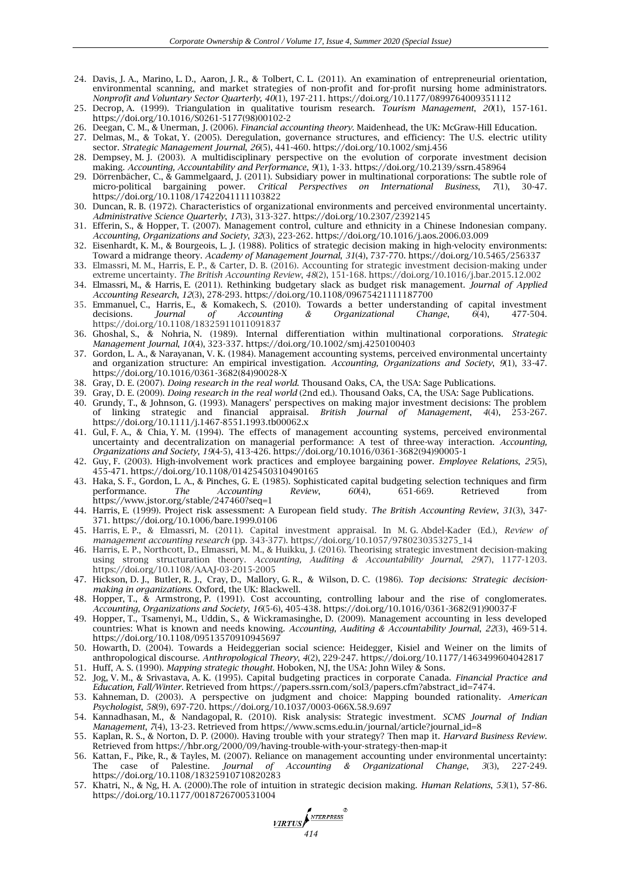- 24. Davis, J. A., Marino, L. D., Aaron, J. R., & Tolbert, C. L. (2011). An examination of entrepreneurial orientation, environmental scanning, and market strategies of non-profit and for-profit nursing home administrators. *Nonprofit and Voluntary Sector Quarterly, 40*(1), 197-211. https://doi.org/10.1177/0899764009351112
- 25. Decrop, A. (1999). Triangulation in qualitative tourism research. *Tourism Management*, *20*(1), 157-161. https://doi.org/10.1016/S0261-5177(98)00102-2
- 26. Deegan, C. M., & Unerman, J. (2006). *Financial accounting theory*. Maidenhead, the UK: McGraw-Hill Education.
- 27. Delmas, M., & Tokat, Y. (2005). Deregulation, governance structures, and efficiency: The U.S. electric utility sector. *Strategic Management Journal*, *26*(5), 441-460. https://doi.org/10.1002/smj.456
- 28. Dempsey, M. J. (2003). A multidisciplinary perspective on the evolution of corporate investment decision making. *Accounting, Accountability and Performance*, *9*(1), 1-33. https://doi.org/10.2139/ssrn.458964
- 29. Dörrenbächer, C., & Gammelgaard, J. (2011). Subsidiary power in multinational corporations: The subtle role of micro-political bargaining power. *Critical Perspectives on International Business*, *7*(1), 30-47. https://doi.org/10.1108/17422041111103822
- 30. Duncan, R. B. (1972). Characteristics of organizational environments and perceived environmental uncertainty. *Administrative Science Quarterly*, *17*(3), 313-327. https://doi.org/10.2307/2392145
- 31. Efferin, S., & Hopper, T. (2007). Management control, culture and ethnicity in a Chinese Indonesian company. *Accounting, Organizations and Society*, *32*(3), 223-262. https://doi.org/10.1016/j.aos.2006.03.009
- 32. Eisenhardt, K. M., & Bourgeois, L. J. (1988). Politics of strategic decision making in high-velocity environments: Toward a midrange theory. *Academy of Management Journal*, *31*(4), 737-770. https://doi.org/10.5465/256337
- 33. Elmassri, M. M., Harris, E. P., & Carter, D. B. (2016). Accounting for strategic investment decision-making under extreme uncertainty. *The British Accounting Review*, *48*(2), 151-168. https://doi.org/10.1016/j.bar.2015.12.002
- 34. Elmassri, M., & Harris, E. (2011). Rethinking budgetary slack as budget risk management. *Journal of Applied Accounting Research*, *12*(3), 278-293. https://doi.org/10.1108/09675421111187700
- 35. Emmanuel, C., Harris, E., & Komakech, S. (2010). Towards a better understanding of capital investment decisions. *Journal of Accounting & Organizational Change*, *6*(4), 477-504. https://doi.org/10.1108/18325911011091837
- 36. Ghoshal, S., & Nohria, N. (1989). Internal differentiation within multinational corporations. *Strategic Management Journal*, *10*(4), 323-337. https://doi.org/10.1002/smj.4250100403
- 37. Gordon, L. A., & Narayanan, V. K. (1984). Management accounting systems, perceived environmental uncertainty and organization structure: An empirical investigation. *Accounting, Organizations and Society*, *9*(1), 33-47. https://doi.org/10.1016/0361-3682(84)90028-X
- 38. Gray, D. E. (2007). *Doing research in the real world*. Thousand Oaks, CA, the USA: Sage Publications.
- 39. Gray, D. E. (2009). *Doing research in the real world* (2nd ed.). Thousand Oaks, CA, the USA: Sage Publications.
- 40. Grundy, T., & Johnson, G. (1993). Managers' perspectives on making major investment decisions: The problem of linking strategic and financial appraisal. *British Journal of Management*, *4*(4), 253-267. https://doi.org/10.1111/j.1467-8551.1993.tb00062.x
- 41. Gul, F. A., & Chia, Y. M. (1994). The effects of management accounting systems, perceived environmental uncertainty and decentralization on managerial performance: A test of three-way interaction. *Accounting, Organizations and Society*, *19*(4-5), 413-426. https://doi.org/10.1016/0361-3682(94)90005-1
- 42. Guy, F. (2003). High-involvement work practices and employee bargaining power. *Employee Relations*, *25*(5), 455-471. https://doi.org/10.1108/01425450310490165
- 43. Haka, S. F., Gordon, L. A., & Pinches, G. E. (1985). Sophisticated capital budgeting selection techniques and firm performance. *The Accounting Review*, *60*(4), 651-669. Retrieved from https://www.jstor.org/stable/247460?seq=1
- 44. Harris, E. (1999). Project risk assessment: A European field study. *The British Accounting Review*, *31*(3), 347- 371. https://doi.org/10.1006/bare.1999.0106
- 45. Harris, E. P., & Elmassri, M. (2011). Capital investment appraisal. In M. G. Abdel-Kader (Ed.), *Review of management accounting research* (pp. 343-377). https://doi.org/10.1057/9780230353275\_14
- 46. Harris, E. P., Northcott, D., Elmassri, M. M., & Huikku, J. (2016). Theorising strategic investment decision-making using strong structuration theory. *Accounting, Auditing & Accountability Journal*, *29*(7), 1177-1203. https://doi.org/10.1108/AAAJ-03-2015-2005
- 47. Hickson, D. J., Butler, R. J., Cray, D., Mallory, G. R., & Wilson, D. C. (1986). *Top decisions: Strategic decisionmaking in organizations*. Oxford, the UK: Blackwell.
- 48. Hopper, T., & Armstrong, P. (1991). Cost accounting, controlling labour and the rise of conglomerates. *Accounting, Organizations and Society*, *16*(5-6), 405-438. https://doi.org/10.1016/0361-3682(91)90037-F
- 49. Hopper, T., Tsamenyi, M., Uddin, S., & Wickramasinghe, D. (2009). Management accounting in less developed countries: What is known and needs knowing. *Accounting, Auditing & Accountability Journal*, *22*(3), 469-514. https://doi.org/10.1108/09513570910945697
- 50. Howarth, D. (2004). Towards a Heideggerian social science: Heidegger, Kisiel and Weiner on the limits of anthropological discourse. *Anthropological Theory*, *4*(2), 229-247. https://doi.org/10.1177/1463499604042817 51. Huff, A. S. (1990). *Mapping strategic thought*. Hoboken, NJ, the USA: John Wiley & Sons.
- 52. Jog, V. M., & Srivastava, A. K. (1995). Capital budgeting practices in corporate Canada. *Financial Practice and Education, Fall/Winter.* Retrieved from https://papers.ssrn.com/sol3/papers.cfm?abstract\_id=7474.
- 53. Kahneman, D. (2003). A perspective on judgment and choice: Mapping bounded rationality. *American Psychologist*, *58*(9), 697-720. https://doi.org/10.1037/0003-066X.58.9.697
- 54. Kannadhasan, M., & Nandagopal, R. (2010). Risk analysis: Strategic investment. *SCMS Journal of Indian Management*, *7*(4), 13-23. Retrieved from https://www.scms.edu.in/journal/article?journal\_id=8
- 55. Kaplan, R. S., & Norton, D. P. (2000). Having trouble with your strategy? Then map it. *Harvard Business Review*. Retrieved from https://hbr.org/2000/09/having-trouble-with-your-strategy-then-map-it
- 56. Kattan, F., Pike, R., & Tayles, M. (2007). Reliance on management accounting under environmental uncertainty: The case of Palestine. *Journal of Accounting & Organizational Change*, *3*(3), 227-249. https://doi.org/10.1108/18325910710820283
- 57. Khatri, N., & Ng, H. A. (2000).The role of intuition in strategic decision making. *Human Relations*, *53*(1), 57-86. https://doi.org/10.1177/0018726700531004

**VIRTUS**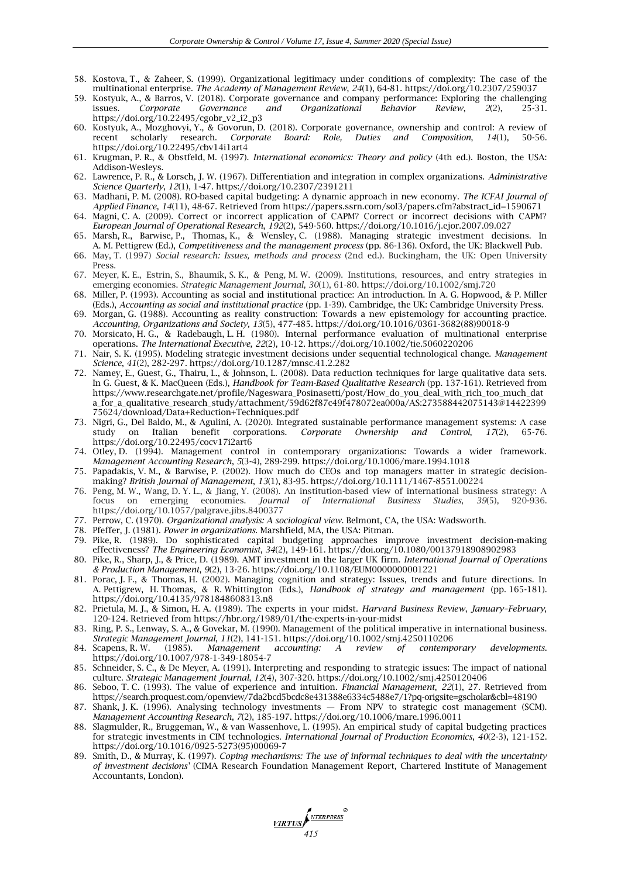- 58. Kostova, T., & Zaheer, S. (1999). Organizational legitimacy under conditions of complexity: The case of the multinational enterprise. *The Academy of Management Review*, *24*(1), 64-81. https://doi.org/10.2307/259037
- 59. Kostyuk, A., & Barros, V. (2018). Corporate governance and company performance: Exploring the challenging issues. *Corporate Governance and Organizational Behavior Review*, *2*(2), 25-31. https://doi.org/10.22495/cgobr\_v2\_i2\_p3
- 60. Kostyuk, A., Mozghovyi, Y., & Govorun, D. (2018). Corporate governance, ownership and control: A review of recent scholarly research. *Corporate Board: Role, Duties and Composition*, *14*(1), 50-56. https://doi.org/10.22495/cbv14i1art4
- 61. Krugman, P. R., & Obstfeld, M. (1997). *International economics: Theory and policy* (4th ed.). Boston, the USA: Addison-Wesleys.
- 62. Lawrence, P. R., & Lorsch, J. W. (1967). Differentiation and integration in complex organizations. *Administrative Science Quarterly*, *12*(1), 1-47. https://doi.org/10.2307/2391211
- 63. Madhani, P. M. (2008). RO-based capital budgeting: A dynamic approach in new economy. *The ICFAI Journal of Applied Finance*, *14*(11), 48-67. Retrieved from https://papers.ssrn.com/sol3/papers.cfm?abstract\_id=1590671
- 64. Magni, C. A. (2009). Correct or incorrect application of CAPM? Correct or incorrect decisions with CAPM? *European Journal of Operational Research*, *192*(2), 549-560. https://doi.org/10.1016/j.ejor.2007.09.027
- 65. Marsh, R., Barwise, P., Thomas, K., & Wensley, C. (1988). Managing strategic investment decisions. In A. M. Pettigrew (Ed.), *Competitiveness and the management process* (pp. 86-136). Oxford, the UK: Blackwell Pub.
- 66. May, T. (1997) *Social research: Issues, methods and process* (2nd ed.). Buckingham, the UK: Open University Press.
- 67. Meyer, K. E., Estrin, S., Bhaumik, S. K., & Peng, M. W. (2009). Institutions, resources, and entry strategies in emerging economies. *Strategic Management Journal*, *30*(1), 61-80. https://doi.org/10.1002/smj.720
- 68. Miller, P. (1993). Accounting as social and institutional practice: An introduction. In A. G. Hopwood, & P. Miller (Eds.), *Accounting as social and institutional practice* (pp. 1-39). Cambridge, the UK: Cambridge University Press.
- 69. Morgan, G. (1988). Accounting as reality construction: Towards a new epistemology for accounting practice. *Accounting, Organizations and Society, 13*(5), 477-485. https://doi.org/10.1016/0361-3682(88)90018-9
- 70. Morsicato, H. G., & Radebaugh, L. H. (1980). Internal performance evaluation of multinational enterprise operations. *The International Executive, 22*(2), 10-12. https://doi.org/10.1002/tie.5060220206
- 71. Nair, S. K. (1995). Modeling strategic investment decisions under sequential technological change. *Management Science*, *41*(2), 282-297. https://doi.org/10.1287/mnsc.41.2.282
- 72. Namey, E., Guest, G., Thairu, L., & Johnson, L. (2008). Data reduction techniques for large qualitative data sets. In G. Guest, & K. MacQueen (Eds.), *Handbook for Team-Based Qualitative Research* (pp. 137-161). Retrieved from https://www.researchgate.net/profile/Nageswara\_Posinasetti/post/How\_do\_you\_deal\_with\_rich\_too\_much\_dat a\_for\_a\_qualitative\_research\_study/attachment/59d62f87c49f478072ea000a/AS:273588442075143@14422399 75624/download/Data+Reduction+Techniques.pdf
- 73. Nigri, G., Del Baldo, M., & Agulini, A. (2020). Integrated sustainable performance management systems: A case study on Italian benefit corporations. *Corporate Ownership and Control*, *17*(2), 65-76. https://doi.org/10.22495/cocv17i2art6
- 74. Otley, D. (1994). Management control in contemporary organizations: Towards a wider framework. *Management Accounting Research*, *5*(3-4), 289-299. https://doi.org/10.1006/mare.1994.1018
- 75. Papadakis, V. M., & Barwise, P. (2002). How much do CEOs and top managers matter in strategic decision‐ making? *British Journal of Management*, *13*(1), 83-95. https://doi.org/10.1111/1467-8551.00224
- 76. Peng, M. W., Wang, D. Y. L., & Jiang, Y. (2008). An institution-based view of international business strategy: A focus on emerging economies. *Journal of International Business Studies*. 39(5). 920-936. focus on emerging economies. *Journal of International Business Studies*, *39*(5), 920-936. https://doi.org/10.1057/palgrave.jibs.8400377
- 77. Perrow, C. (1970). *Organizational analysis: A sociological view*. Belmont, CA, the USA: Wadsworth.
- 78. Pfeffer, J. (1981). *Power in organizations*. Marshfield, MA, the USA: Pitman.
- 79. Pike, R. (1989). Do sophisticated capital budgeting approaches improve investment decision-making effectiveness? *The Engineering Economist*, *34*(2), 149-161. https://doi.org/10.1080/00137918908902983
- 80. Pike, R., Sharp, J., & Price, D. (1989). AMT investment in the larger UK firm. *International Journal of Operations & Production Management*, *9*(2), 13-26. https://doi.org/10.1108/EUM0000000001221
- 81. Porac, J. F., & Thomas, H. (2002). Managing cognition and strategy: Issues, trends and future directions. In A. Pettigrew, H. Thomas, & R. Whittington (Eds.), *Handbook of strategy and management* (pp. 165-181). <https://doi.org/10.4135/9781848608313.n8>
- 82. Prietula, M. J., & Simon, H. A. (1989). The experts in your midst. *Harvard Business Review*, *January–February*, 120-124. Retrieved from https://hbr.org/1989/01/the-experts-in-your-midst
- 83. Ring, P. S., Lenway, S. A., & Govekar, M. (1990). Management of the political imperative in international business. *Strategic Management Journal*, *11*(2), 141-151. https://doi.org/10.1002/smj.4250110206
- 84. Scapens, R. W. (1985). *Management accounting: A review of contemporary developments*. https://doi.org/10.1007/978-1-349-18054-7
- 85. Schneider, S. C., & De Meyer, A. (1991). Interpreting and responding to strategic issues: The impact of national culture. *Strategic Management Journal*, *12*(4), 307-320. https://doi.org/10.1002/smj.4250120406
- 86. Seboo, T. C. (1993). The value of experience and intuition*. Financial Management*, *22*(1), 27. Retrieved from https://search.proquest.com/openview/7da2bcd5bcdc8e431388e6334c5488e7/1?pq-origsite=gscholar&cbl=48190
- 87. Shank, J. K. (1996). Analysing technology investments From NPV to strategic cost management (SCM). *Management Accounting Research*, *7*(2), 185-197. https://doi.org/10.1006/mare.1996.0011
- 88. Slagmulder, R., Bruggeman, W., & van Wassenhove, L. (1995). An empirical study of capital budgeting practices for strategic investments in CIM technologies. *International Journal of Production Economics*, *40*(2-3), 121-152. https://doi.org/10.1016/0925-5273(95)00069-7
- 89. Smith, D., & Murray, K. (1997). *Coping mechanisms: The use of informal techniques to deal with the uncertainty of investment decisions'* (CIMA Research Foundation Management Report, Chartered Institute of Management Accountants, London).

**VIRTUS** ATERPRESS<sup>®</sup>